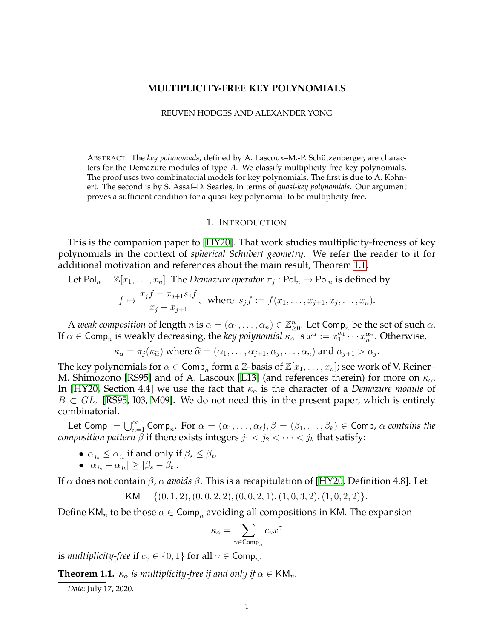## **MULTIPLICITY-FREE KEY POLYNOMIALS**

### REUVEN HODGES AND ALEXANDER YONG

ABSTRACT. The *key polynomials*, defined by A. Lascoux–M.-P. Schutzenberger, are charac- ¨ ters for the Demazure modules of type  $A$ . We classify multiplicity-free key polynomials. The proof uses two combinatorial models for key polynomials. The first is due to A. Kohnert. The second is by S. Assaf–D. Searles, in terms of *quasi-key polynomials*. Our argument proves a sufficient condition for a quasi-key polynomial to be multiplicity-free.

### 1. INTRODUCTION

This is the companion paper to [\[HY20\]](#page-19-0). That work studies multiplicity-freeness of key polynomials in the context of *spherical Schubert geometry*. We refer the reader to it for additional motivation and references about the main result, Theorem [1.1.](#page-0-0)

Let 
$$
\text{Pol}_n = \mathbb{Z}[x_1, \ldots, x_n]
$$
. The *Demazure operator*  $\pi_j : \text{Pol}_n \to \text{Pol}_n$  is defined by

$$
f \mapsto \frac{x_j f - x_{j+1} s_j f}{x_j - x_{j+1}},
$$
 where  $s_j f := f(x_1, ..., x_{j+1}, x_j, ..., x_n).$ 

A *weak composition* of length  $n$  is  $\alpha = (\alpha_1, \dots, \alpha_n) \in \mathbb{Z}_{\geq 0}^n$ . Let Comp<sub>n</sub> be the set of such  $\alpha$ . If  $\alpha \in \textsf{Comp}_n$  is weakly decreasing, the *key polynomial*  $\kappa_\alpha$  is  $x^\alpha := x_1^{\alpha_1} \cdots x_n^{\alpha_n}$ . Otherwise,

$$
\kappa_{\alpha} = \pi_j(\kappa_{\widehat{\alpha}}) \text{ where } \widehat{\alpha} = (\alpha_1, \dots, \alpha_{j+1}, \alpha_j, \dots, \alpha_n) \text{ and } \alpha_{j+1} > \alpha_j.
$$

The key polynomials for  $\alpha \in \mathsf{Comp}_n$  form a  $\mathbb{Z}\text{-basis}$  of  $\mathbb{Z}[x_1,\ldots,x_n]$ ; see work of V. Reiner– M. Shimozono [\[RS95\]](#page-19-1) and of A. Lascoux [\[L13\]](#page-19-2) (and references therein) for more on  $\kappa_{\alpha}$ . In [\[HY20,](#page-19-0) Section 4.4] we use the fact that  $\kappa_{\alpha}$  is the character of a *Demazure module* of  $B \subset GL_n$  [\[RS95,](#page-19-1) [I03,](#page-19-3) [M09\]](#page-19-4). We do not need this in the present paper, which is entirely combinatorial.

Let Comp :=  $\bigcup_{n=1}^{\infty}$  Comp<sub>n</sub>. For  $\alpha = (\alpha_1, \ldots, \alpha_\ell), \beta = (\beta_1, \ldots, \beta_k) \in$  Comp,  $\alpha$  contains the *composition pattern*  $\beta$  if there exists integers  $j_1 < j_2 < \cdots < j_k$  that satisfy:

•  $\alpha_{j_s} \leq \alpha_{j_t}$  if and only if  $\beta_s \leq \beta_t$ ,

$$
\bullet \, |\alpha_{j_s} - \alpha_{j_t}| \geq |\beta_s - \beta_t|.
$$

If α does not contain β, α *avoids* β. This is a recapitulation of [\[HY20,](#page-19-0) Definition 4.8]. Let

$$
KM = \{(0, 1, 2), (0, 0, 2, 2), (0, 0, 2, 1), (1, 0, 3, 2), (1, 0, 2, 2)\}.
$$

Define KM<sub>n</sub> to be those  $\alpha \in \textsf{Comp}_n$  avoiding all compositions in KM. The expansion

$$
\kappa_\alpha = \sum_{\gamma \in \operatorname{Comp}_n} c_\gamma x^\gamma
$$

is multiplicity-free if  $c_\gamma \in \{0,1\}$  for all  $\gamma \in \mathsf{Comp}_n.$ 

<span id="page-0-0"></span>**Theorem 1.1.**  $\kappa_{\alpha}$  *is multiplicity-free if and only if*  $\alpha \in KM_n$ .

*Date*: July 17, 2020.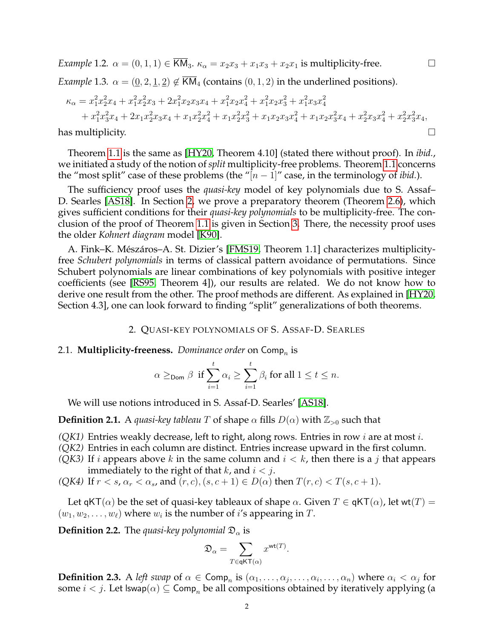*Example* 1.2.  $\alpha = (0, 1, 1) \in \overline{KM}_3$ .  $\kappa_\alpha = x_2x_3 + x_1x_3 + x_2x_1$  is multiplicity-free.

*Example* 1.3*.*  $\alpha = (\underline{0}, 2, \underline{1}, \underline{2}) \notin \overline{KM}_4$  (contains  $(0, 1, 2)$  in the underlined positions).

$$
\kappa_{\alpha} = x_1^2 x_2^2 x_4 + x_1^2 x_2^2 x_3 + 2x_1^2 x_2 x_3 x_4 + x_1^2 x_2 x_4^2 + x_1^2 x_2 x_3^2 + x_1^2 x_3 x_4^2 + x_1^2 x_3^2 x_4 + 2x_1 x_2^2 x_3 x_4 + x_1 x_2^2 x_4^2 + x_1 x_2^2 x_3^2 + x_1 x_2 x_3 x_4^2 + x_1 x_2 x_3^2 x_4 + x_2^2 x_3 x_4^2 + x_2^2 x_3^2 x_4,
$$
  
has multiplicity.

Theorem [1.1](#page-0-0) is the same as [\[HY20,](#page-19-0) Theorem 4.10] (stated there without proof). In *ibid.*, we initiated a study of the notion of*split* multiplicity-free problems. Theorem [1.1](#page-0-0) concerns the "most split" case of these problems (the " $[n-1]$ " case, in the terminology of *ibid*.).

The sufficiency proof uses the *quasi-key* model of key polynomials due to S. Assaf– D. Searles [\[AS18\]](#page-19-5). In Section [2,](#page-1-0) we prove a preparatory theorem (Theorem [2.6\)](#page-2-0), which gives sufficient conditions for their *quasi-key polynomials* to be multiplicity-free. The conclusion of the proof of Theorem [1.1](#page-0-0) is given in Section [3.](#page-9-0) There, the necessity proof uses the older *Kohnert diagram* model [\[K90\]](#page-19-6).

A. Fink–K. Mészáros–A. St. Dizier's [\[FMS19,](#page-19-7) Theorem 1.1] characterizes multiplicityfree *Schubert polynomials* in terms of classical pattern avoidance of permutations. Since Schubert polynomials are linear combinations of key polynomials with positive integer coefficients (see [\[RS95,](#page-19-1) Theorem 4]), our results are related. We do not know how to derive one result from the other. The proof methods are different. As explained in [\[HY20,](#page-19-0) Section 4.3], one can look forward to finding "split" generalizations of both theorems.

## 2. QUASI-KEY POLYNOMIALS OF S. ASSAF-D. SEARLES

# <span id="page-1-0"></span>2.1. **Multiplicity-freeness.** *Dominance order* on  $\mathsf{Comp}_n$  is

$$
\alpha \geq_{\text{Dom}} \beta \text{ if } \sum_{i=1}^{t} \alpha_i \geq \sum_{i=1}^{t} \beta_i \text{ for all } 1 \leq t \leq n.
$$

We will use notions introduced in S. Assaf-D. Searles' [\[AS18\]](#page-19-5).

**Definition 2.1.** A *quasi-key tableau* T of shape  $\alpha$  fills  $D(\alpha)$  with  $\mathbb{Z}_{>0}$  such that

- *(QK1)* Entries weakly decrease, left to right, along rows. Entries in row i are at most i.
- *(QK2)* Entries in each column are distinct. Entries increase upward in the first column.
- *(QK3)* If *i* appears above *k* in the same column and  $i < k$ , then there is a *j* that appears immediately to the right of that  $k$ , and  $i < j$ .
- *(QK4)* If  $r < s$ ,  $\alpha_r < \alpha_s$ , and  $(r, c)$ ,  $(s, c + 1) \in D(\alpha)$  then  $T(r, c) < T(s, c + 1)$ .

Let qKT( $\alpha$ ) be the set of quasi-key tableaux of shape  $\alpha$ . Given  $T \in \mathsf{qKT}(\alpha)$ , let wt(T) =  $(w_1, w_2, \ldots, w_\ell)$  where  $w_i$  is the number of i's appearing in T.

**Definition 2.2.** The *quasi-key polynomial*  $\mathfrak{D}_{\alpha}$  is

$$
\mathfrak{D}_\alpha = \sum_{T \in \mathsf{qKT}(\alpha)} x^{\mathsf{wt}(T)}.
$$

**Definition 2.3.** A *left swap* of  $\alpha \in \text{Comp}_n$  is  $(\alpha_1, \ldots, \alpha_j, \ldots, \alpha_i, \ldots, \alpha_n)$  where  $\alpha_i < \alpha_j$  for some  $i < j$ . Let  $\mathsf{Iswap}(\alpha) \subseteq \mathsf{Comp}_n$  be all compositions obtained by iteratively applying (a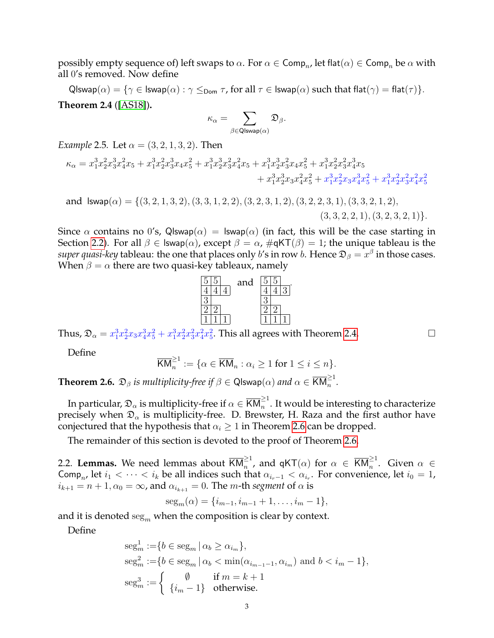possibly empty sequence of) left swaps to  $\alpha.$  For  $\alpha\in\mathsf{Comp}_n$  let flat $(\alpha)\in\mathsf{Comp}_n$  be  $\alpha$  with all 0's removed. Now define

<span id="page-2-2"></span>Qlswap $(\alpha) = \{\gamma \in \text{Iswap}(\alpha) : \gamma \leq_{\text{Dom}} \tau \text{, for all } \tau \in \text{Iswap}(\alpha) \text{ such that } \text{flat}(\gamma) = \text{flat}(\tau)\}.$ **Theorem 2.4** ([\[AS18\]](#page-19-5))**.**

$$
\kappa_\alpha = \sum_{\beta \in \mathsf{QIswap}(\alpha)} \mathfrak{D}_\beta.
$$

*Example* 2.5*.* Let  $\alpha = (3, 2, 1, 3, 2)$ . Then

$$
\begin{aligned} \kappa_\alpha = x_1^3x_2^2x_3^3x_4^2x_5 + x_1^3x_2^2x_3^3x_4x_5^2 + x_1^3x_2^3x_3^2x_4^2x_5 + x_1^3x_2^3x_3^2x_4x_5^2 + x_1^3x_2^2x_3^2x_4^3x_5 \\ &\quad + x_1^3x_2^3x_3x_4^2x_5^2 + x_1^3x_2^2x_3x_4^3x_5^2 + x_1^3x_2^2x_3^2x_4^2x_5^2 \end{aligned}
$$

and 
$$
Iswap(\alpha) = \{(3, 2, 1, 3, 2), (3, 3, 1, 2, 2), (3, 2, 3, 1, 2), (3, 2, 2, 3, 1), (3, 3, 2, 1, 2), (3, 3, 2, 2, 1), (3, 2, 3, 2, 1)\}.
$$

Since  $\alpha$  contains no 0's, Qlswap( $\alpha$ ) = lswap( $\alpha$ ) (in fact, this will be the case starting in Section [2.2\)](#page-2-1). For all  $\beta \in \text{Iswap}(\alpha)$ , except  $\beta = \alpha$ ,  $\#\text{qKT}(\beta) = 1$ ; the unique tableau is the  $super$   $quasi$ - $key$  tableau: the one that places only  $b'$ s in row  $b$ . Hence  $\mathfrak{D}_\beta = x^\beta$  in those cases. When  $\beta = \alpha$  there are two quasi-key tableaux, namely



Thus,  $\mathfrak{D}_{\alpha} = x_1^3 x_2^2 x_3 x_4^3 x_5^2 + x_1^3 x_2^2 x_3^2 x_4^2 x_5^2$ . This all agrees with Theorem [2.4.](#page-2-2)

Define

$$
\overline{\mathsf{KM}}_n^{\geq 1} := \{ \alpha \in \overline{\mathsf{KM}}_n : \alpha_i \geq 1 \text{ for } 1 \leq i \leq n \}.
$$

<span id="page-2-0"></span>**Theorem 2.6.**  $\mathfrak{D}_{\beta}$  *is multiplicity-free if*  $\beta \in \mathsf{QIswap}(\alpha)$  *and*  $\alpha \in \overline{\mathsf{KM}}_n^{\geq 1}$ .

In particular,  $\frak D_\alpha$  is multiplicity-free if  $\alpha\in\overline{{\sf KM}}_n^{\ge 1}.$  It would be interesting to characterize precisely when  $\mathfrak{D}_{\alpha}$  is multiplicity-free. D. Brewster, H. Raza and the first author have conjectured that the hypothesis that  $\alpha_i > 1$  in Theorem [2.6](#page-2-0) can be dropped.

The remainder of this section is devoted to the proof of Theorem [2.6.](#page-2-0)

<span id="page-2-1"></span>2.2. Lemmas. We need lemmas about  $\overline{\mathsf{KM}}_n^{\geq 1}$ , and qKT $(\alpha)$  for  $\alpha~\in~\overline{\mathsf{KM}}_n^{\geq 1}.$  Given  $\alpha~\in$ Comp<sub>n</sub>, let  $i_1 < \cdots < i_k$  be all indices such that  $\alpha_{i_r-1} < \alpha_{i_r}$ . For convenience, let  $i_0 = 1$ ,  $i_{k+1} = n + 1, \alpha_0 = \infty$ , and  $\alpha_{i_{k+1}} = 0$ . The *m*-th *segment* of  $\alpha$  is

$$
seg_m(\alpha) = \{i_{m-1}, i_{m-1}+1, \ldots, i_m-1\},\
$$

and it is denoted  $\text{seg}_m$  when the composition is clear by context.

Define

$$
\begin{aligned}\n\operatorname{seg}_m^1 &:= \{ b \in \operatorname{seg}_m \mid \alpha_b \ge \alpha_{i_m} \}, \\
\operatorname{seg}_m^2 &:= \{ b \in \operatorname{seg}_m \mid \alpha_b < \min(\alpha_{i_{m-1}-1}, \alpha_{i_m}) \text{ and } b < i_m - 1 \}, \\
\operatorname{seg}_m^3 &:= \left\{ \begin{array}{cl} \emptyset & \text{if } m = k + 1 \\
\{i_m - 1\} & \text{otherwise.} \end{array} \right.\n\end{aligned}
$$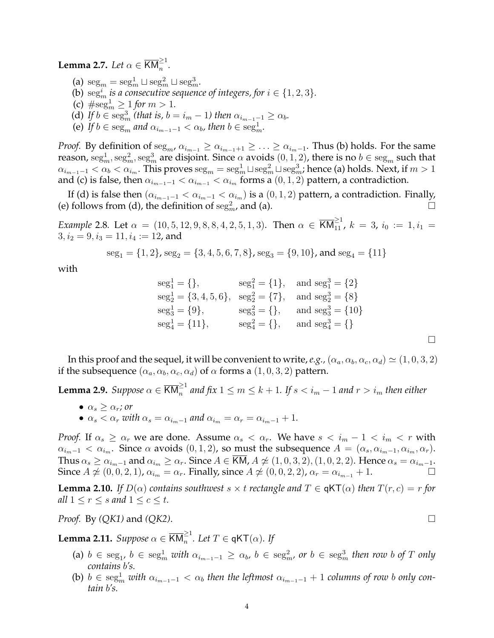<span id="page-3-0"></span>**Lemma 2.7.** *Let*  $\alpha \in \overline{\text{KM}}_n^{\geq 1}$ *.* 

- (a)  $\operatorname{seg}_m = \operatorname{seg}_m^1 \sqcup \operatorname{seg}_m^2 \sqcup \operatorname{seg}_m^3$ .
- (b)  $\text{seg}_m^i$  *is a consecutive sequence of integers, for*  $i \in \{1, 2, 3\}$ *.*
- (c)  $\#\text{seg}_m^1 \geq 1$  *for*  $m > 1$ *.*
- (d) If  $b \in \text{seg}_m^3$  (that is,  $b = i_m 1$ ) then  $\alpha_{i_{m-1}-1} \ge \alpha_b$ .
- (e) If  $b \in \text{seg}_m$  and  $\alpha_{i_{m-1}-1} < \alpha_b$ , then  $b \in \text{seg}_m^1$ .

*Proof.* By definition of  $\text{seg}_{m}$ ,  $\alpha_{i_{m-1}} \geq \alpha_{i_{m-1}+1} \geq \ldots \geq \alpha_{i_{m-1}}$ . Thus (b) holds. For the same reason,  $\text{seg}^1_m,\text{seg}^2_m,\text{seg}^3_m$  are disjoint. Since  $\alpha$  avoids  $(0,1,2)$ , there is no  $b\in\text{seg}_m$  such that  $\alpha_{i_{m-1}-1}<\alpha_b<\alpha_{i_m}.$  This proves  $\text{seg}_m=\text{seg}_m^1\sqcup\text{seg}_m^2\sqcup\text{seg}_m^3$ ; hence (a) holds. Next, if  $m>1$ and (c) is false, then  $\alpha_{i_{m-1}-1} < \alpha_{i_{m-1}} < \alpha_{i_m}$  forms a  $(0, 1, 2)$  pattern, a contradiction.

If (d) is false then  $(\alpha_{i_{m-1}-1} < \alpha_{i_m-1} < \alpha_{i_m})$  is a  $(0,1,2)$  pattern, a contradiction. Finally, (e) follows from (d), the definition of  $\text{seg}^2_m$ , and (a).

*Example* 2.8. Let  $\alpha = (10, 5, 12, 9, 8, 8, 4, 2, 5, 1, 3)$ . Then  $\alpha \in \overline{KM}_{11}^{\geq 1}$ ,  $k = 3$ ,  $i_0 := 1, i_1 =$  $3, i_2 = 9, i_3 = 11, i_4 := 12$ , and

$$
seg_1 = \{1, 2\}, seg_2 = \{3, 4, 5, 6, 7, 8\}, seg_3 = \{9, 10\}, and seg_4 = \{11\}
$$

with

$$
seg11 = \{\}, \quad seg12 = \{1\}, \quad \text{and } seg13 = \{2\}
$$
  
\n
$$
seg21 = \{3, 4, 5, 6\}, \quad seg22 = \{7\}, \quad \text{and } seg23 = \{8\}
$$
  
\n
$$
seg31 = \{9\}, \quad seg32 = \{\}, \quad \text{and } seg33 = \{10\}
$$
  
\n
$$
seg41 = \{11\}, \quad seg42 = \{\}, \quad \text{and } seg43 = \{\}
$$

In this proof and the sequel, it will be convenient to write, *e.g.*,  $(\alpha_a, \alpha_b, \alpha_c, \alpha_d) \simeq (1, 0, 3, 2)$ if the subsequence  $(\alpha_a, \alpha_b, \alpha_c, \alpha_d)$  of  $\alpha$  forms a  $(1, 0, 3, 2)$  pattern.

<span id="page-3-2"></span>**Lemma 2.9.** Suppose  $\alpha \in \overline{\text{KM}}_n^{\geq 1}$  and fix  $1 \leq m \leq k+1$ . If  $s < i_m - 1$  and  $r > i_m$  then either

- $\bullet \ \alpha_s > \alpha_r$ *; or*
- $\alpha_s < \alpha_r$  with  $\alpha_s = \alpha_{i_{m-1}}$  and  $\alpha_{i_m} = \alpha_r = \alpha_{i_{m-1}} + 1$ .

*Proof.* If  $\alpha_s \geq \alpha_r$  we are done. Assume  $\alpha_s < \alpha_r$ . We have  $s < i_m - 1 < i_m < r$  with  $\alpha_{i_{m}-1} < \alpha_{i_{m}}$ . Since  $\alpha$  avoids  $(0, 1, 2)$ , so must the subsequence  $A = (\alpha_{s}, \alpha_{i_{m}-1}, \alpha_{i_{m}}, \alpha_{r})$ . Thus  $\alpha_s \ge \alpha_{i_m-1}$  and  $\alpha_{i_m} \ge \alpha_r$ . Since  $A \in \overline{KM}$ ,  $A \not\simeq (1,0,3,2), (1,0,2,2)$ . Hence  $\alpha_s = \alpha_{i_m-1}$ . Since  $A \not\simeq (0, 0, 2, 1)$ ,  $\alpha_{i_m} = \alpha_r$ . Finally, since  $A \not\simeq (0, 0, 2, 2)$ ,  $\alpha_r = \alpha_{i_{m-1}} + 1$ .

<span id="page-3-1"></span>**Lemma 2.10.** *If*  $D(\alpha)$  *contains southwest*  $s \times t$  *rectangle and*  $T \in \textsf{qKT}(\alpha)$  *then*  $T(r, c) = r$  *for all*  $1 \leq r \leq s$  *and*  $1 \leq c \leq t$ *.* 

*Proof.* By *(QK1)* and *(QK2)*.

<span id="page-3-3"></span>**Lemma 2.11.** *Suppose*  $\alpha \in \overline{\mathsf{KM}}_n^{\geq 1}$ *. Let*  $T \in \mathsf{qKT}(\alpha)$ *. If* 

- (a)  $b \in \text{seg}_1$ ,  $b \in \text{seg}_m^1$  with  $\alpha_{i_{m-1}-1} \ge \alpha_b$ ,  $b \in \text{seg}_m^2$ , or  $b \in \text{seg}_m^3$  then row b of T only *contains* b*'s.*
- (b)  $b ∈ \text{seg}^1_m$  with  $\alpha_{i_{m-1}-1} < \alpha_b$  then the leftmost  $\alpha_{i_{m-1}-1} + 1$  columns of row b only con*tain* b*'s.*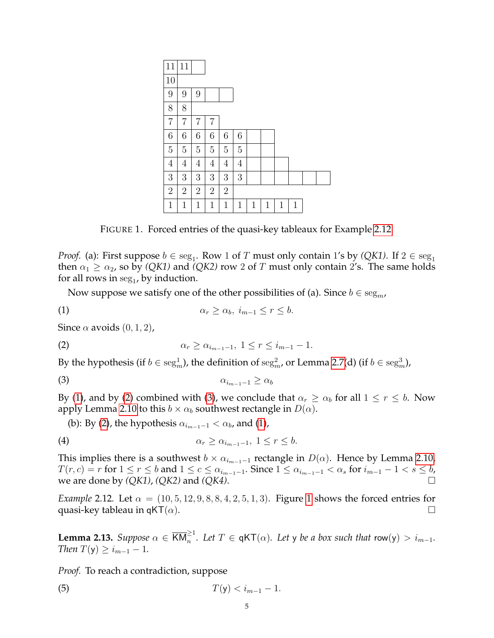

<span id="page-4-4"></span><span id="page-4-1"></span>FIGURE 1. Forced entries of the quasi-key tableaux for Example [2.12](#page-4-0)

*Proof.* (a): First suppose  $b \in \text{seg}_1$ . Row 1 of T must only contain 1's by *(QK1)*. If  $2 \in \text{seg}_1$ then  $\alpha_1 \geq \alpha_2$ , so by *(QK1)* and *(QK2)* row 2 of T must only contain 2's. The same holds for all rows in  $\text{seg}_1$ , by induction.

<span id="page-4-2"></span>Now suppose we satisfy one of the other possibilities of (a). Since  $b \in \text{seg}_m$ ,

$$
\alpha_r \ge \alpha_b, \ i_{m-1} \le r \le b.
$$

Since  $\alpha$  avoids  $(0, 1, 2)$ ,

(2) 
$$
\alpha_r \geq \alpha_{i_{m-1}-1}, \ 1 \leq r \leq i_{m-1}-1.
$$

By the hypothesis (if  $b \in \mathrm{seg}^1_m$ ), the definition of  $\mathrm{seg}^2_m$ , or Lemma [2.7\(](#page-3-0)d) (if  $b \in \mathrm{seg}^3_m$ ),

$$
\alpha_{i_{m-1}-1} \geq \alpha_b
$$

By [\(1\)](#page-4-1), and by [\(2\)](#page-4-2) combined with [\(3\)](#page-4-3), we conclude that  $\alpha_r \geq \alpha_b$  for all  $1 \leq r \leq b$ . Now apply Lemma [2.10](#page-3-1) to this  $b \times \alpha_b$  southwest rectangle in  $D(\alpha)$ .

<span id="page-4-3"></span>(b): By [\(2\)](#page-4-2), the hypothesis  $\alpha_{i_{m-1}-1} < \alpha_b$ , and [\(1\)](#page-4-1),

$$
\alpha_r \geq \alpha_{i_{m-1}-1}, \ 1 \leq r \leq b.
$$

This implies there is a southwest  $b \times \alpha_{i_{m-1}-1}$  rectangle in  $D(\alpha)$ . Hence by Lemma [2.10,](#page-3-1)  $T(r, c) = r$  for  $1 \le r \le b$  and  $1 \le c \le \alpha_{i_{m-1}-1}$ . Since  $1 \le \alpha_{i_{m-1}-1} < \alpha_s$  for  $i_{m-1}-1 < s \le b$ , we are done by *(QK1)*, *(QK2)* and *(QK4)*.

<span id="page-4-0"></span>*Example* 2.12*.* Let  $\alpha = (10, 5, 12, 9, 8, 8, 4, 2, 5, 1, 3)$  $\alpha = (10, 5, 12, 9, 8, 8, 4, 2, 5, 1, 3)$  $\alpha = (10, 5, 12, 9, 8, 8, 4, 2, 5, 1, 3)$ . Figure 1 shows the forced entries for quasi-key tableau in qKT( $\alpha$ ).

<span id="page-4-6"></span>**Lemma 2.13.** *Suppose*  $\alpha \in \overline{KM}_n^{\geq 1}$ . Let  $T \in \mathsf{qKT}(\alpha)$ . Let y be a box such that  $\mathsf{row}(y) > i_{m-1}$ . *Then*  $T(y) \ge i_{m-1} - 1$ .

*Proof.* To reach a contradiction, suppose

<span id="page-4-5"></span>(5) 
$$
T(y) < i_{m-1} - 1.
$$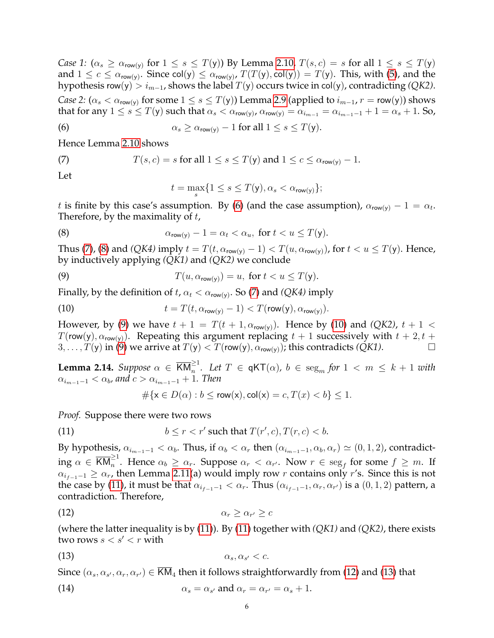*Case 1:*  $(\alpha_s \ge \alpha_{\text{row}(y)} \text{ for } 1 \le s \le T(y))$  By Lemma [2.10,](#page-3-1)  $T(s, c) = s$  for all  $1 \le s \le T(y)$ and  $1 \leq c \leq \alpha_{\mathsf{row}(y)}$ . Since col(y)  $\leq \alpha_{\mathsf{row}(y)}$ ,  $T(T(y), \mathsf{col}(y)) = T(y)$ . This, with [\(5\)](#page-4-5), and the hypothesis row(y) >  $i_{m-1}$ , shows the label  $T(y)$  occurs twice in col(y), contradicting *(QK2)*.

*Case 2:* ( $\alpha_s < \alpha_{\text{row}(y)}$  for some  $1 \le s \le T(y)$ ) Lemma [2.9](#page-3-2) (applied to  $i_{m-1}$ ,  $r = \text{row}(y)$ ) shows that for any  $1\leq s\leq T($ y) such that  $\alpha_s<\alpha_{\sf row(y)}$ ,  $\alpha_{\sf row(y)}=\alpha_{i_{m-1}}=\alpha_{i_{m-1}-1}+1=\alpha_s+1.$  So,

(6) 
$$
\alpha_s \geq \alpha_{\text{row}(y)} - 1 \text{ for all } 1 \leq s \leq T(y).
$$

Hence Lemma [2.10](#page-3-1) shows

(7) 
$$
T(s,c) = s \text{ for all } 1 \le s \le T(y) \text{ and } 1 \le c \le \alpha_{\text{row}(y)} - 1.
$$

Let

<span id="page-5-3"></span><span id="page-5-2"></span><span id="page-5-1"></span><span id="page-5-0"></span>
$$
t = \max_{s} \{ 1 \leq s \leq T(\mathsf{y}), \alpha_s < \alpha_{\mathsf{row}(\mathsf{y})} \};
$$

t is finite by this case's assumption. By [\(6\)](#page-5-0) (and the case assumption),  $\alpha_{\text{row}(y)} - 1 = \alpha_t$ . Therefore, by the maximality of  $t$ ,

(8) 
$$
\alpha_{\text{row}(y)} - 1 = \alpha_t < \alpha_u, \text{ for } t < u \leq T(y).
$$

Thus [\(7\)](#page-5-1), [\(8\)](#page-5-2) and *(QK4)* imply  $t = T(t, \alpha_{row(y)} - 1) < T(u, \alpha_{row(y)})$ , for  $t < u \leq T(y)$ . Hence, by inductively applying *(QK1)* and *(QK2)* we conclude

(9) 
$$
T(u, \alpha_{\text{row}(y)}) = u, \text{ for } t < u \leq T(y).
$$

Finally, by the definition of  $t$ ,  $\alpha_t < \alpha_{\text{row}(y)}$ . So [\(7\)](#page-5-1) and *(QK4)* imply

(10) 
$$
t = T(t, \alpha_{\text{row}(y)} - 1) < T(\text{row}(y), \alpha_{\text{row}(y)})
$$

However, by [\(9\)](#page-5-3) we have  $t + 1 = T(t + 1, \alpha_{row(y)})$ . Hence by [\(10\)](#page-5-4) and *(QK2)*,  $t + 1 <$  $T(\text{row}(y), \alpha_{\text{row}(y)})$ . Repeating this argument replacing  $t + 1$  successively with  $t + 2, t +$  $3, \ldots, T(y)$  in [\(9\)](#page-5-3) we arrive at  $T(y) < T(\text{row}(y), \alpha_{\text{row}(y)})$ ; this contradicts  $(QK1)$ .

<span id="page-5-9"></span>**Lemma 2.14.** Suppose  $\alpha \in \overline{KM}_n^{\geq 1}$ . Let  $T \in \mathsf{qKT}(\alpha)$ ,  $b \in \text{seg}_m$  for  $1 \lt m \leq k+1$  with  $\alpha_{i_{m-1}-1} < \alpha_b$ , and  $c > \alpha_{i_{m-1}-1} + 1$ . Then

<span id="page-5-6"></span><span id="page-5-5"></span><span id="page-5-4"></span>
$$
\# \{ \mathsf{x} \in D(\alpha) : b \le \mathsf{row}(\mathsf{x}), \mathsf{col}(\mathsf{x}) = c, T(x) < b \} \le 1.
$$

*Proof.* Suppose there were two rows

(11) 
$$
b \le r < r' \text{ such that } T(r', c), T(r, c) < b.
$$

By hypothesis,  $\alpha_{i_{m-1}-1} < \alpha_b$ . Thus, if  $\alpha_b < \alpha_r$  then  $(\alpha_{i_{m-1}-1}, \alpha_b, \alpha_r) \simeq (0, 1, 2)$ , contradicting  $\alpha \in \overline{\textsf{KM}}_n^{\geq 1}$ . Hence  $\alpha_b \geq \alpha_r$ . Suppose  $\alpha_r < \alpha_{r'}$ . Now  $r \in \text{seg}_f$  for some  $f \geq m$ . If  $\alpha_{i_{f-1}-1} \geq \alpha_r$ , then Lemma [2.11\(](#page-3-3)a) would imply row r contains only r's. Since this is not the case by [\(11\)](#page-5-5), it must be that  $\alpha_{i_{f-1}-1} < \alpha_r$ . Thus  $(\alpha_{i_{f-1}-1}, \alpha_r, \alpha_{r'})$  is a  $(0,1,2)$  pattern, a contradiction. Therefore,

$$
\alpha_r \geq \alpha_{r'} \geq c
$$

(where the latter inequality is by [\(11\)](#page-5-5)). By [\(11\)](#page-5-5) together with *(QK1)* and *(QK2)*, there exists two rows  $s < s' < r$  with

<span id="page-5-7"></span>
$$
\alpha_s, \alpha_{s'} < c.
$$

Since  $(\alpha_s,\alpha_{s'},\alpha_r,\alpha_{r'})\in \mathsf{KM}_4$  then it follows straightforwardly from [\(12\)](#page-5-6) and [\(13\)](#page-5-7) that

<span id="page-5-8"></span>(14) 
$$
\alpha_s = \alpha_{s'} \text{ and } \alpha_r = \alpha_{r'} = \alpha_s + 1.
$$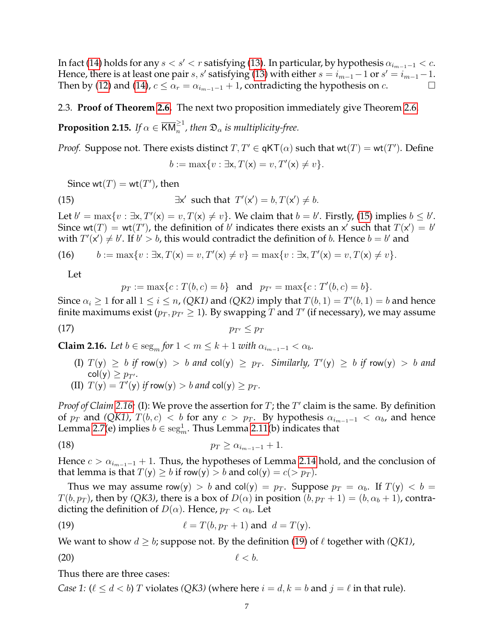In fact [\(14\)](#page-5-8) holds for any  $s < s' < r$  satisfying [\(13\)](#page-5-7). In particular, by hypothesis  $\alpha_{i_{m-1}-1} < c$ . Hence, there is at least one pair  $s, s'$  satisfying [\(13\)](#page-5-7) with either  $s = i_{m-1}-1$  or  $s' = i_{m-1}-1$ . Then by [\(12\)](#page-5-6) and [\(14\)](#page-5-8),  $c \le \alpha_r = \alpha_{i_{m-1}-1} + 1$ , contradicting the hypothesis on  $c$ .

## 2.3. **Proof of Theorem [2.6.](#page-2-0)** The next two proposition immediately give Theorem [2.6.](#page-2-0)

<span id="page-6-6"></span>**Proposition 2.15.** If  $\alpha \in \overline{\text{KM}}_n^{\geq 1}$ , then  $\mathfrak{D}_\alpha$  is multiplicity-free.

*Proof.* Suppose not. There exists distinct  $T, T' \in qKT(\alpha)$  such that  $wt(T) = wt(T')$ . Define

<span id="page-6-0"></span>
$$
b := \max\{v : \exists x, T(x) = v, T'(x) \neq v\}.
$$

Since  $wt(T) = wt(T')$ , then

(15) 
$$
\exists x' \text{ such that } T'(x') = b, T(x') \neq b.
$$

Let  $b' = \max\{v : \exists x, T'(x) = v, T(x) \neq v\}$ . We claim that  $b = b'$ . Firstly, [\(15\)](#page-6-0) implies  $b \leq b'$ . Since wt(T) = wt(T'), the definition of b' indicates there exists an x' such that  $T(x') = b'$ with  $T'(x') \neq b'$ . If  $b' > b$ , this would contradict the definition of b. Hence  $b = b'$  and

(16) 
$$
b := \max\{v : \exists x, T(x) = v, T'(x) \neq v\} = \max\{v : \exists x, T'(x) = v, T(x) \neq v\}.
$$

<span id="page-6-5"></span>Let

 $p_T := \max\{c : T(b, c) = b\}$  and  $p_{T'} = \max\{c : T'(b, c) = b\}.$ 

Since  $\alpha_i \geq 1$  for all  $1 \leq i \leq n$ , *(QK1)* and *(QK2)* imply that  $T(b, 1) = T'(b, 1) = b$  and hence finite maximums exist ( $p_T, p_{T'} \geq 1$ ). By swapping  $T$  and  $T'$  (if necessary), we may assume

$$
p_{T'} \leq p_T
$$

<span id="page-6-1"></span>**Claim 2.16.** *Let*  $b \in \text{seg}_m$  *for*  $1 < m \leq k + 1$  *with*  $\alpha_{i_{m-1}-1} < \alpha_b$ *.* 

- $(I) T(y) \ge b$  if row $(y) > b$  and  $col(y) \ge p_T$ . Similarly,  $T'(y) \ge b$  if row $(y) > b$  and  $col(y) \geq p_{T'}$ .
- <span id="page-6-4"></span>(II)  $T(y) = T'(y)$  if row(y)  $> b$  and  $col(y) \geq p_T$ .

*Proof of Claim* [2.16:](#page-6-1) (I): We prove the assertion for  $T$ ; the  $T'$  claim is the same. By definition of  $p_T$  and *(QK1)*,  $T(b, c) < b$  for any  $c > p_T$ . By hypothesis  $\alpha_{i_{m-1}-1} < \alpha_b$ , and hence Lemma [2.7\(](#page-3-0)e) implies  $b \in \mathrm{seg}^1_m.$  Thus Lemma [2.11\(](#page-3-3)b) indicates that

(18) 
$$
p_T \ge \alpha_{i_{m-1}-1} + 1.
$$

Hence  $c > \alpha_{i_{m-1}-1} + 1$ . Thus, the hypotheses of Lemma [2.14](#page-5-9) hold, and the conclusion of that lemma is that  $T(y) \ge b$  if row(y)  $>b$  and col(y) =  $c(> p_T)$ .

Thus we may assume row(y) > b and col(y) =  $p_T$ . Suppose  $p_T = \alpha_b$ . If  $T(y) < b =$  $T(b, p_T)$ , then by *(QK3)*, there is a box of  $D(\alpha)$  in position  $(b, p_T + 1) = (b, \alpha_b + 1)$ , contradicting the definition of  $D(\alpha)$ . Hence,  $p_T < \alpha_b$ . Let

<span id="page-6-2"></span>(19) 
$$
\ell = T(b, p_T + 1) \text{ and } d = T(y).
$$

We want to show  $d \geq b$ ; suppose not. By the definition [\(19\)](#page-6-2) of  $\ell$  together with *(QK1)*,

<span id="page-6-3"></span>
$$
\ell < b.
$$

Thus there are three cases:

*Case 1:*  $(\ell \leq d < b)$  *T* violates  $(QK3)$  (where here  $i = d, k = b$  and  $j = \ell$  in that rule).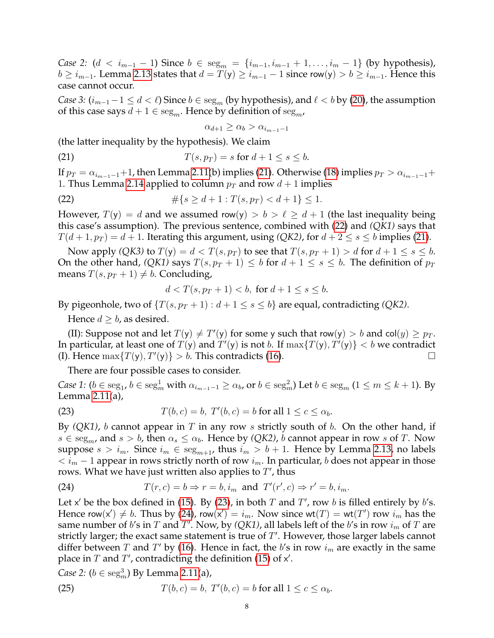*Case 2:* (*d* < *i*<sub>*m*−1</sub> − 1) Since  $b \in \text{seg}_m = \{i_{m-1}, i_{m-1} + 1, \ldots, i_m - 1\}$  (by hypothesis),  $b \ge i_{m-1}$ . Lemma [2.13](#page-4-6) states that  $d = T(y) \ge i_{m-1} - 1$  since row(y)  $> b \ge i_{m-1}$ . Hence this case cannot occur.

*Case 3:*  $(i_{m-1}-1 \le d < l)$  Since  $b \in \text{seg}_m$  (by hypothesis), and  $l < b$  by [\(20\)](#page-6-3), the assumption of this case says  $d + 1 \in \text{seg}_m$ . Hence by definition of  $\text{seg}_m$ ,

<span id="page-7-1"></span><span id="page-7-0"></span> $\alpha_{d+1} \geq \alpha_b > \alpha_{i_{m-1}-1}$ 

(the latter inequality by the hypothesis). We claim

$$
(21) \t\t T(s, p_T) = s \text{ for } d+1 \le s \le b.
$$

If  $p_T = \alpha_{i_{m-1}-1}+1$ , then Lemma [2.11\(](#page-3-3)b) implies [\(21\)](#page-7-0). Otherwise [\(18\)](#page-6-4) implies  $p_T > \alpha_{i_{m-1}-1}+1$ 1. Thus Lemma [2.14](#page-5-9) applied to column  $p_T$  and row  $d + 1$  implies

(22) 
$$
\#\{s \ge d+1 : T(s, p_T) < d+1\} \le 1.
$$

However,  $T(y) = d$  and we assumed row(y)  $> b > l \ge d + 1$  (the last inequality being this case's assumption). The previous sentence, combined with [\(22\)](#page-7-1) and *(QK1)* says that  $T(d+1, p_T) = d+1$ . Iterating this argument, using *(QK2)*, for  $d+2 \leq s \leq b$  implies [\(21\)](#page-7-0).

Now apply *(QK3)* to  $T(y) = d < T(s, p_T)$  to see that  $T(s, p_T + 1) > d$  for  $d + 1 \le s \le b$ . On the other hand, *(QK1)* says  $T(s, p_T + 1) \leq b$  for  $d + 1 \leq s \leq b$ . The definition of  $p_T$ means  $T(s, p_T + 1) \neq b$ . Concluding,

$$
d < T(s, p_T + 1) < b, \text{ for } d + 1 \le s \le b.
$$

By pigeonhole, two of  $\{T(s, p_T + 1) : d + 1 \le s \le b\}$  are equal, contradicting *(QK2)*.

Hence  $d \geq b$ , as desired.

(II): Suppose not and let  $T(y) \neq T'(y)$  for some y such that row(y)  $> b$  and col(y)  $\geq p_T$ . In particular, at least one of  $T(y)$  and  $T'(y)$  is not  $b$ . If  $\max\{T(y), T'(y)\} < b$  we contradict (I). Hence  $\max\{T(y), T'(y)\} > b$ . This contradicts [\(16\)](#page-6-5).

<span id="page-7-2"></span>There are four possible cases to consider.

*Case 1:*  $(b \in \text{seg}_1, b \in \text{seg}_m^1$  with  $\alpha_{i_{m-1}-1} \ge \alpha_b$ , or  $b \in \text{seg}_m^2$ ) Let  $b \in \text{seg}_m$   $(1 \le m \le k+1)$ . By Lemma [2.11\(](#page-3-3)a),

(23) 
$$
T(b,c) = b, T'(b,c) = b \text{ for all } 1 \leq c \leq \alpha_b.
$$

By *(QK1)*, *b* cannot appear in T in any row *s* strictly south of *b*. On the other hand, if  $s \in \text{seg}_{m}$ , and  $s > b$ , then  $\alpha_s \leq \alpha_b$ . Hence by *(QK2)*, b cannot appear in row s of T. Now suppose  $s > i_m$ . Since  $i_m \in \text{seg}_{m+1}$ , thus  $i_m > b + 1$ . Hence by Lemma [2.13,](#page-4-6) no labels  $\langle i_m - 1 \rangle$  appear in rows strictly north of row  $i_m$ . In particular, b does not appear in those rows. What we have just written also applies to  $T'$ , thus

<span id="page-7-3"></span>(24) 
$$
T(r,c) = b \Rightarrow r = b, i_m \text{ and } T'(r',c) \Rightarrow r' = b, i_m.
$$

Let x' be the box defined in [\(15\)](#page-6-0). By [\(23\)](#page-7-2), in both  $T$  and  $T'$ , row  $b$  is filled entirely by  $b$ 's. Hence row(x')  $\neq b$ . Thus by [\(24\)](#page-7-3), row(x') =  $i_m$ . Now since wt(T) = wt(T') row  $i_m$  has the same number of b's in  $T$  and  $T'$ . Now, by *(QK1)*, all labels left of the b's in row  $i_m$  of  $T$  are strictly larger; the exact same statement is true of  $T'$ . However, those larger labels cannot differ between T and T' by [\(16\)](#page-6-5). Hence in fact, the b's in row  $i_m$  are exactly in the same place in  $T$  and  $T'$ , contradicting the definition [\(15\)](#page-6-0) of  $x'$ .

*Case 2:*  $(b \in \text{seg}_m^3)$  By Lemma [2.11\(](#page-3-3)a),

<span id="page-7-4"></span>(25) 
$$
T(b,c) = b, T'(b,c) = b \text{ for all } 1 \leq c \leq \alpha_b.
$$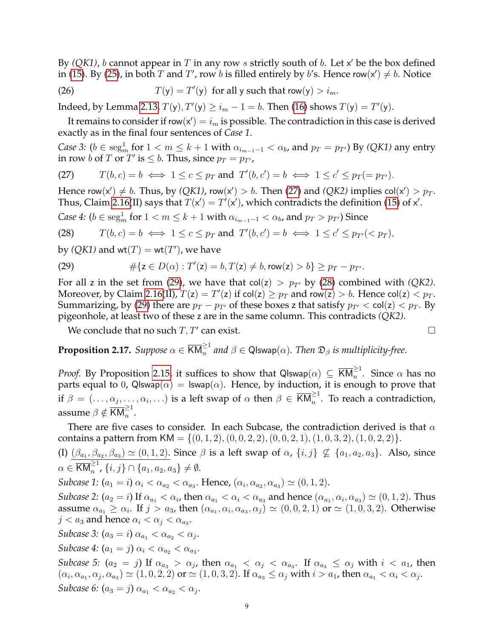By  $(QK1)$ , b cannot appear in T in any row s strictly south of b. Let  $x'$  be the box defined in [\(15\)](#page-6-0). By [\(25\)](#page-7-4), in both T and T', row b is filled entirely by b's. Hence row(x')  $\neq b$ . Notice

(26)  $T(y) = T'(y)$  for all y such that row(y)  $> i_m$ .

Indeed, by Lemma [2.13,](#page-4-6)  $T(y)$ ,  $T'(y) \ge i_m - 1 = b$ . Then [\(16\)](#page-6-5) shows  $T(y) = T'(y)$ .

It remains to consider if row $(x') = i_m$  is possible. The contradiction in this case is derived exactly as in the final four sentences of *Case 1*.

*Case 3:*  $(b \in \text{seg}_m^1 \text{ for } 1 < m \leq k+1 \text{ with } \alpha_{i_{m-1}-1} < \alpha_b$ , and  $p_T = p_{T'}$ ) By *(QK1)* any entry in row b of T or T' is  $\leq b$ . Thus, since  $p_T = p_{T}$ ,

<span id="page-8-0"></span>(27) 
$$
T(b,c) = b \iff 1 \le c \le p_T \text{ and } T'(b,c') = b \iff 1 \le c' \le p_T (= p_{T'}).
$$

Hence row(x')  $\neq b$ . Thus, by *(QK1)*, row(x') > b. Then [\(27\)](#page-8-0) and *(QK2)* implies col(x') >  $p_T$ . Thus, Claim [2.16\(](#page-6-1)II) says that  $T(x') = T'(x')$ , which contradicts the definition [\(15\)](#page-6-0) of x'.

*Case 4:*  $(b \in \text{seg}_m^1 \text{ for } 1 < m \leq k+1 \text{ with } \alpha_{i_{m-1}-1} < \alpha_b$ , and  $p_T > p_{T'}$ ) Since

<span id="page-8-2"></span>(28) 
$$
T(b, c) = b \iff 1 \leq c \leq p_T
$$
 and  $T'(b, c') = b \iff 1 \leq c' \leq p_{T'}(< p_T),$ 

by  $(QK1)$  and  $wt(T) = wt(T')$ , we have

<span id="page-8-1"></span>(29) 
$$
\#\{z \in D(\alpha) : T'(z) = b, T(z) \neq b, \text{row}(z) > b\} \geq p_T - p_{T'}.
$$

For all z in the set from [\(29\)](#page-8-1), we have that  $col(z) > p_{T}$  by [\(28\)](#page-8-2) combined with *(QK2)*. Moreover, by Claim [2.16\(](#page-6-1)II),  $T(z) = T'(z)$  if col(z)  $\geq p_T$  and row(z)  $> b$ . Hence col(z)  $< p_T$ . Summarizing, by [\(29\)](#page-8-1) there are  $p_T - p_{T}$  of these boxes z that satisfy  $p_{T'} < col(z) < p_T$ . By pigeonhole, at least two of these z are in the same column. This contradicts *(QK2)*.

We conclude that no such  $T, T'$  can exist.

<span id="page-8-3"></span>**Proposition 2.17.** Suppose  $\alpha \in \overline{\mathsf{KM}}_n^{\geq 1}$  and  $\beta \in \mathsf{Q}$ lswap $(\alpha)$ . Then  $\mathfrak{D}_\beta$  is multiplicity-free.

*Proof.* By Proposition [2.15,](#page-6-6) it suffices to show that Qlswap $(\alpha) \, \subseteq \, \overline{\mathsf{KM}}_n^{\geq 1}.$  Since  $\alpha$  has no parts equal to 0, Qlswap( $\alpha$ ) = lswap( $\alpha$ ). Hence, by induction, it is enough to prove that if  $\beta = (\ldots, \alpha_j, \ldots, \alpha_i, \ldots)$  is a left swap of  $\alpha$  then  $\beta \in \overline{KM}_n^{\geq 1}$ . To reach a contradiction, assume  $\beta \notin \overline{\text{KM}}_n^{\geq 1}$ .

There are five cases to consider. In each Subcase, the contradiction derived is that  $\alpha$ contains a pattern from  $KM = \{(0, 1, 2), (0, 0, 2, 2), (0, 0, 2, 1), (1, 0, 3, 2), (1, 0, 2, 2)\}.$ 

(I)  $(\beta_{a_1}, \beta_{a_2}, \beta_{a_3}) \simeq (0, 1, 2)$ . Since  $\beta$  is a left swap of  $\alpha$ ,  $\{i, j\} \nsubseteq \{a_1, a_2, a_3\}$ . Also, since  $\alpha \in \overline{\textsf{KM}}_n^{\geq 1}$ ,  $\{i, j\} \cap \{a_1, a_2, a_3\} \neq \emptyset$ .

*Subcase 1:*  $(a_1 = i) \alpha_i < \alpha_{a_2} < \alpha_{a_3}$ . Hence,  $(\alpha_i, \alpha_{a_2}, \alpha_{a_3}) \simeq (0, 1, 2)$ .

*Subcase 2:*  $(a_2 = i)$  If  $\alpha_{a_1} < \alpha_i$ , then  $\alpha_{a_1} < \alpha_i < \alpha_{a_3}$  and hence  $(\alpha_{a_1}, \alpha_i, \alpha_{a_3}) \simeq (0, 1, 2)$ . Thus assume  $\alpha_{a_1} \ge \alpha_i$ . If  $j > a_3$ , then  $(\alpha_{a_1}, \alpha_i, \alpha_{a_3}, \alpha_j) \simeq (0, 0, 2, 1)$  or  $\simeq (1, 0, 3, 2)$ . Otherwise  $j < a_3$  and hence  $\alpha_i < \alpha_j < \alpha_{a_3}$ .

*Subcase 3:*  $(a_3 = i) \alpha_{a_1} < \alpha_{a_2} < \alpha_j$ .

*Subcase* 4:  $(a_1 = j) \alpha_i < \alpha_{a_2} < \alpha_{a_3}$ .

*Subcase 5:*  $(a_2 = j)$  If  $\alpha_{a_3} > \alpha_j$ , then  $\alpha_{a_1} < \alpha_j < \alpha_{a_3}$ . If  $\alpha_{a_3} \leq \alpha_j$  with  $i < a_1$ , then  $(\alpha_i, \alpha_{a_1}, \alpha_j, \alpha_{a_3}) \simeq (1, 0, 2, 2)$  or  $\simeq (1, 0, 3, 2)$ . If  $\alpha_{a_3} \leq \alpha_j$  with  $i > a_1$ , then  $\alpha_{a_1} < \alpha_i < \alpha_j$ . *Subcase 6:*  $(a_3 = j) \alpha_{a_1} < \alpha_{a_2} < \alpha_j$ .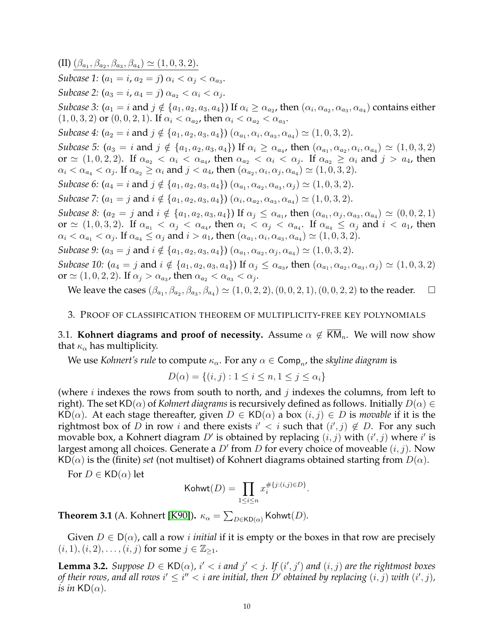(II)  $(\beta_{a_1}, \beta_{a_2}, \beta_{a_3}, \beta_{a_4}) \simeq (1, 0, 3, 2).$ *Subcase 1:*  $(a_1 = i, a_2 = j) \alpha_i < \alpha_j < \alpha_{a_3}$ . *Subcase 2:*  $(a_3 = i, a_4 = j) \alpha_{a_2} < \alpha_i < \alpha_j$ . *Subcase 3:*  $(a_1 = i \text{ and } j \notin \{a_1, a_2, a_3, a_4\})$  If  $\alpha_i \geq \alpha_{a_2}$ , then  $(\alpha_i, \alpha_{a_2}, \alpha_{a_3}, \alpha_{a_4})$  contains either  $(1, 0, 3, 2)$  or  $(0, 0, 2, 1)$ . If  $\alpha_i < \alpha_{a_2}$ , then  $\alpha_i < \alpha_{a_2} < \alpha_{a_3}$ . *Subcase 4:*  $(a_2 = i \text{ and } j \notin \{a_1, a_2, a_3, a_4\})$   $(\alpha_{a_1}, \alpha_i, \alpha_{a_3}, \alpha_{a_4}) \simeq (1, 0, 3, 2)$ . *Subcase 5:*  $(a_3 = i \text{ and } j \notin \{a_1, a_2, a_3, a_4\})$  If  $\alpha_i \geq \alpha_{a_4}$ , then  $(\alpha_{a_1}, \alpha_{a_2}, \alpha_i, \alpha_{a_4}) \simeq (1, 0, 3, 2)$ or  $\simeq (1, 0, 2, 2)$ . If  $\alpha_{a_2} < \alpha_i < \alpha_{a_4}$ , then  $\alpha_{a_2} < \alpha_i < \alpha_j$ . If  $\alpha_{a_2} \ge \alpha_i$  and  $j > a_4$ , then  $\alpha_i < \alpha_{a_4} < \alpha_j$ . If  $\alpha_{a_2} \ge \alpha_i$  and  $j < a_4$ , then  $(\alpha_{a_2}, \alpha_i, \alpha_j, \alpha_{a_4}) \simeq (1, 0, 3, 2)$ . *Subcase 6:*  $(a_4 = i \text{ and } j \notin \{a_1, a_2, a_3, a_4\})$   $(\alpha_{a_1}, \alpha_{a_2}, \alpha_{a_3}, \alpha_j) \simeq (1, 0, 3, 2)$ . *Subcase 7:*  $(a_1 = j \text{ and } i \notin \{a_1, a_2, a_3, a_4\})$   $(\alpha_i, \alpha_{a_2}, \alpha_{a_3}, \alpha_{a_4}) \simeq (1, 0, 3, 2)$ . *Subcase 8:*  $(a_2 = j \text{ and } i \notin \{a_1, a_2, a_3, a_4\}) \text{ If } \alpha_j \leq \alpha_{a_1}$ , then  $(\alpha_{a_1}, \alpha_j, \alpha_{a_3}, \alpha_{a_4}) \simeq (0, 0, 2, 1)$ or  $\simeq (1, 0, 3, 2)$ . If  $\alpha_{a_1} < \alpha_j < \alpha_{a_4}$ , then  $\alpha_i < \alpha_j < \alpha_{a_4}$ . If  $\alpha_{a_4} \leq \alpha_j$  and  $i < a_1$ , then  $\alpha_i < \alpha_{a_1} < \alpha_j$ . If  $\alpha_{a_4} \leq \alpha_j$  and  $i > a_1$ , then  $(\alpha_{a_1}, \alpha_i, \alpha_{a_3}, \alpha_{a_4}) \simeq (1, 0, 3, 2)$ . *Subcase 9:*  $(a_3 = j \text{ and } i \notin \{a_1, a_2, a_3, a_4\})$   $(\alpha_{a_1}, \alpha_{a_2}, \alpha_j, \alpha_{a_4}) \simeq (1, 0, 3, 2)$ . *Subcase 10:*  $(a_4 = j \text{ and } i \notin \{a_1, a_2, a_3, a_4\})$  If  $\alpha_j \leq \alpha_{a_3}$ , then  $(\alpha_{a_1}, \alpha_{a_2}, \alpha_{a_3}, \alpha_j) \simeq (1, 0, 3, 2)$ or  $\simeq (1, 0, 2, 2)$ . If  $\alpha_j > \alpha_{a_3}$ , then  $\alpha_{a_2} < \alpha_{a_3} < \alpha_j$ .

We leave the cases  $(\beta_{a_1}, \beta_{a_2}, \beta_{a_3}, \beta_{a_4}) \simeq (1, 0, 2, 2), (0, 0, 2, 1), (0, 0, 2, 2)$  to the reader.  $\Box$ 

## <span id="page-9-0"></span>3. PROOF OF CLASSIFICATION THEOREM OF MULTIPLICITY-FREE KEY POLYNOMIALS

3.1. **Kohnert diagrams and proof of necessity.** Assume  $\alpha \notin \overline{KM}_n$ . We will now show that  $\kappa_{\alpha}$  has multiplicity.

We use *Kohnert's rule* to compute  $\kappa_{\alpha}$ . For any  $\alpha \in \textsf{Comp}_n$ , the *skyline diagram* is

$$
D(\alpha) = \{(i, j) : 1 \le i \le n, 1 \le j \le \alpha_i\}
$$

(where  $i$  indexes the rows from south to north, and  $j$  indexes the columns, from left to right). The set  $KD(\alpha)$  of *Kohnert diagrams* is recursively defined as follows. Initially  $D(\alpha) \in$ KD( $\alpha$ ). At each stage thereafter, given  $D \in \mathsf{KD}(\alpha)$  a box  $(i, j) \in D$  is *movable* if it is the rightmost box of  $D$  in row i and there exists  $i' < i$  such that  $(i', j) \notin D$ . For any such movable box, a Kohnert diagram  $D'$  is obtained by replacing  $(i, j)$  with  $(i', j)$  where  $i'$  is largest among all choices. Generate a  $D'$  from  $D$  for every choice of moveable  $(i, j)$ . Now  $KD(\alpha)$  is the (finite) *set* (not multiset) of Kohnert diagrams obtained starting from  $D(\alpha)$ .

For  $D \in \mathsf{KD}(\alpha)$  let

$$
\mathsf{Kohwt}(D) = \prod_{1 \leq i \leq n} x_i^{\# \{j : (i,j) \in D\}}.
$$

<span id="page-9-2"></span>**Theorem 3.1** (A. Kohnert [\[K90\]](#page-19-6)).  $\kappa_{\alpha} = \sum_{D \in \mathsf{KD}(\alpha)} \mathsf{Kohwt}(D)$ .

Given  $D \in D(\alpha)$ , call a row *i initial* if it is empty or the boxes in that row are precisely  $(i, 1), (i, 2), \ldots, (i, j)$  for some  $j \in \mathbb{Z}_{\geq 1}$ .

<span id="page-9-1"></span>**Lemma 3.2.** *Suppose*  $D \in \mathsf{KD}(\alpha)$ ,  $i' < i$  and  $j' < j$ . If  $(i', j')$  and  $(i, j)$  are the rightmost boxes of their rows, and all rows  $i' \leq i'' < i$  are initial, then D' obtained by replacing  $(i, j)$  with  $(i', j)$ , *is in*  $KD(\alpha)$ *.*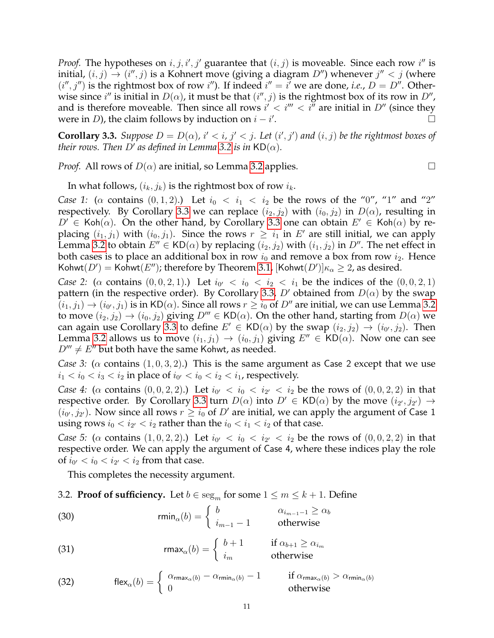*Proof.* The hypotheses on  $i, j, i', j'$  guarantee that  $(i, j)$  is moveable. Since each row  $i''$  is initial,  $(i, j) \rightarrow (i'', j)$  is a Kohnert move (giving a diagram  $D''$ ) whenever  $j'' < j$  (where  $(i'', j'')$  is the rightmost box of row i''). If indeed  $i'' = i'$  we are done, *i.e.*,  $D = D''$ . Otherwise since  $i''$  is initial in  $D(\alpha)$ , it must be that  $(i'', j)$  is the rightmost box of its row in  $D''$ , and is therefore moveable. Then since all rows  $i' < i''' < i^{\overline{\mu}}$  are initial in  $D''$  (since they were in *D*), the claim follows by induction on  $i - i'$ .

<span id="page-10-0"></span>**Corollary 3.3.** *Suppose*  $D = D(\alpha)$ ,  $i' < i$ ,  $j' < j$ . Let  $(i', j')$  and  $(i, j)$  be the rightmost boxes of *their rows. Then D' as defined in Lemma* [3.2](#page-9-1) *is in* KD( $\alpha$ ).

*Proof.* All rows of  $D(\alpha)$  are initial, so Lemma [3.2](#page-9-1) applies.

In what follows,  $(i_k, j_k)$  is the rightmost box of row  $i_k$ .

*Case 1:* ( $\alpha$  contains (0, 1, 2).) Let  $i_0 < i_1 < i_2$  be the rows of the "0", "1" and "2" respectively. By Corollary [3.3](#page-10-0) we can replace  $(i_2, j_2)$  with  $(i_0, j_2)$  in  $D(\alpha)$ , resulting in  $D^{\prime} \in \mathsf{Koh}(\alpha)$ . On the other hand, by Corollary [3.3](#page-10-0) one can obtain  $E^{\prime} \in \mathsf{Koh}(\alpha)$  by replacing  $(i_1, j_1)$  with  $(i_0, j_1)$ . Since the rows  $r \geq i_1$  in  $E'$  are still initial, we can apply Lemma [3.2](#page-9-1) to obtain  $E'' \in \mathsf{KD}(\alpha)$  by replacing  $(i_2, j_2)$  with  $(i_1, j_2)$  in  $D''$ . The net effect in both cases is to place an additional box in row  $i_0$  and remove a box from row  $i_2$ . Hence Kohwt $(D')=$  Kohwt $(E'')$ ; therefore by Theorem [3.1,](#page-9-2)  $[\mathsf{Kohwt}(D')] \kappa_\alpha \geq 2$ , as desired.

*Case 2:* ( $\alpha$  contains  $(0, 0, 2, 1)$ .) Let  $i_{0'} < i_0 < i_2 < i_1$  be the indices of the  $(0, 0, 2, 1)$ pattern (in the respective order). By Corollary [3.3,](#page-10-0) D' obtained from  $D(\alpha)$  by the swap  $\bar (i_1,j_1)\to(i_0,j_1)$  is in KD( $\alpha$ ). Since all rows  $r\ge i_0$  of  $D''$  are initial, we can use Lemma [3.2](#page-9-1) to move  $(i_2, j_2) \rightarrow (i_0, j_2)$  giving  $D''' \in KD(\alpha)$ . On the other hand, starting from  $D(\alpha)$  we can again use Corollary [3.3](#page-10-0) to define  $E' \in \mathsf{KD}(\alpha)$  by the swap  $(i_2, j_2) \rightarrow (i_0, j_2)$ . Then Lemma [3.2](#page-9-1) allows us to move  $(i_1, j_1) \rightarrow (i_0, j_1)$  giving  $E'' \in KD(\alpha)$ . Now one can see  $D''' \neq E''$  but both have the same Kohwt, as needed.

*Case 3:* ( $\alpha$  contains (1, 0, 3, 2).) This is the same argument as Case 2 except that we use  $i_1 < i_0 < i_3 < i_2$  in place of  $i_{0'} < i_0 < i_2 < i_1$ , respectively.

*Case 4:* ( $\alpha$  contains  $(0, 0, 2, 2)$ .) Let  $i_{0'} < i_0 < i_{2'} < i_2$  be the rows of  $(0, 0, 2, 2)$  in that respective order. By Corollary [3.3](#page-10-0) turn  $D(\alpha)$  into  $D' \in \mathsf{KD}(\alpha)$  by the move  $(i_{2'}, j_{2'}) \rightarrow$  $(i_0, j_{2'})$ . Now since all rows  $r \geq i_0$  of  $D'$  are initial, we can apply the argument of Case 1 using rows  $i_0 < i_{2'} < i_2$  rather than the  $i_0 < i_1 < i_2$  of that case.

*Case 5:* ( $\alpha$  contains  $(1,0,2,2)$ .) Let  $i_{0'} < i_0 < i_{2'} < i_2$  be the rows of  $(0,0,2,2)$  in that respective order. We can apply the argument of Case 4, where these indices play the role of  $i_{0'} < i_0 < i_{2'} < i_2$  from that case.

<span id="page-10-1"></span>This completes the necessity argument.

3.2. **Proof of sufficiency.** Let  $b \in \text{seg}_m$  for some  $1 \le m \le k + 1$ . Define

(30) 
$$
\text{rmin}_{\alpha}(b) = \begin{cases} b & \alpha_{i_{m-1}-1} \ge \alpha_b \\ i_{m-1} - 1 & \text{otherwise} \end{cases}
$$

<span id="page-10-3"></span>(31) 
$$
\mathsf{rmax}_{\alpha}(b) = \begin{cases} b+1 & \text{if } \alpha_{b+1} \geq \alpha_{i_m} \\ i_m & \text{otherwise} \end{cases}
$$

<span id="page-10-2"></span>(32) 
$$
\text{flex}_{\alpha}(b) = \begin{cases} \alpha_{\text{rmax}_{\alpha}(b)} - \alpha_{\text{rmin}_{\alpha}(b)} - 1 & \text{if } \alpha_{\text{rmax}_{\alpha}(b)} > \alpha_{\text{rmin}_{\alpha}(b)} \\ 0 & \text{otherwise} \end{cases}
$$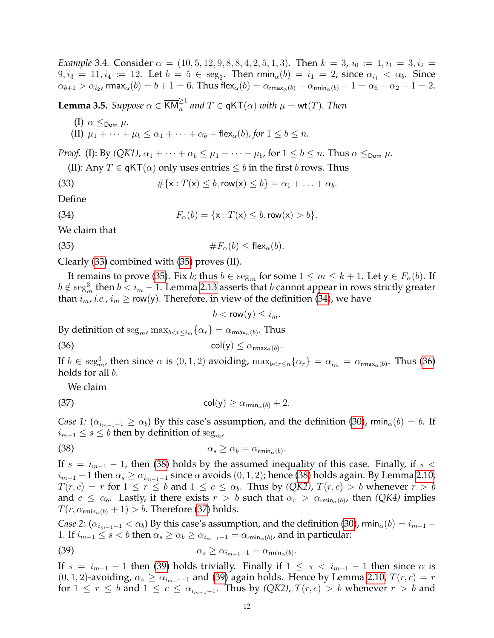*Example* 3.4*.* Consider  $\alpha = (10, 5, 12, 9, 8, 8, 4, 2, 5, 1, 3)$ . Then  $k = 3$ ,  $i_0 := 1, i_1 = 3, i_2 = 1$ .  $9, i_3 = 11, i_4 := 12$ . Let  $b = 5 \in \text{seg}_2$ . Then  $\text{rmin}_\alpha(b) = i_1 = 2$ , since  $\alpha_{i_1} < \alpha_b$ . Since  $\alpha_{b+1}>\alpha_{i_2}$ , rmax $_{\alpha}(b)=b+1=6.$  Thus flex $_{\alpha}(b)=\alpha_{\mathsf{rmax}_{\alpha}(b)}-\alpha_{\mathsf{rmin}_{\alpha}(b)}-1=\alpha_6-\alpha_2-1=2.$ 

<span id="page-11-7"></span>**Lemma 3.5.** *Suppose*  $\alpha \in \overline{\text{KM}}_n^{\geq 1}$  and  $T \in \mathsf{qKT}(\alpha)$  with  $\mu = \text{wt}(T)$ . Then

(I)  $\alpha \leq_{\text{Dom}} \mu$ . (II)  $\mu_1 + \cdots + \mu_b \leq \alpha_1 + \cdots + \alpha_b + \text{flex}_\alpha(b)$ , for  $1 \leq b \leq n$ .

*Proof.* (I): By  $(QK1)$ ,  $\alpha_1 + \cdots + \alpha_b \leq \mu_1 + \cdots + \mu_b$ , for  $1 \leq b \leq n$ . Thus  $\alpha \leq_{\text{Dom}} \mu$ .

<span id="page-11-0"></span>(II): Any  $T \in \mathsf{qKT}(\alpha)$  only uses entries  $\leq b$  in the first b rows. Thus

(33) 
$$
\#\{x: T(x) \leq b, \text{row}(x) \leq b\} = \alpha_1 + \ldots + \alpha_b.
$$

Define

(34) 
$$
F_{\alpha}(b) = \{x : T(x) \le b, \text{row}(x) > b\}.
$$

We claim that

(35) 
$$
\#F_{\alpha}(b) \leq \mathsf{flex}_{\alpha}(b).
$$

Clearly [\(33\)](#page-11-0) combined with [\(35\)](#page-11-1) proves (II).

It remains to prove [\(35\)](#page-11-1). Fix *b*; thus  $b \in \text{seg}_m$  for some  $1 \le m \le k + 1$ . Let  $y \in F_\alpha(b)$ . If  $b \notin \operatorname{seg}_m^3$  then  $b < i_m-1.$  Lemma [2.13](#page-4-6) asserts that  $b$  cannot appear in rows strictly greater than  $i_m$ , *i.e.*,  $i_m \geq \text{row}(y)$ . Therefore, in view of the definition [\(34\)](#page-11-2), we have

<span id="page-11-5"></span><span id="page-11-4"></span><span id="page-11-3"></span><span id="page-11-2"></span><span id="page-11-1"></span> $b < \mathsf{row}(y) \leq i_m$ .

By definition of  $\text{seg}_m$ ,  $\max_{b < r \leq i_m} {\{\alpha_r\}} = \alpha_{\text{rmax}_{\alpha}(b)}$ . Thus

(36) 
$$
\operatorname{col}(y) \leq \alpha_{\operatorname{rmax}_{\alpha}(b)}.
$$

If  $b \in \text{seg}^3_m$ , then since  $\alpha$  is  $(0, 1, 2)$  avoiding,  $\max_{b \leq r \leq n} {\{\alpha_r\}} = \alpha_{i_m} = \alpha_{\max_{\alpha}(b)}$ . Thus [\(36\)](#page-11-3) holds for all b.

We claim

(37) 
$$
\operatorname{col}(y) \geq \alpha_{\min_{\alpha}(b)} + 2.
$$

*Case 1:*  $(\alpha_{i_{m-1}-1} \ge \alpha_b)$  By this case's assumption, and the definition [\(30\)](#page-10-1), rmin<sub>α</sub> $(b) = b$ . If  $i_{m-1}$  ≤  $s$  ≤  $b$  then by definition of seg<sub>*m*</sub>,

(38) 
$$
\alpha_s \geq \alpha_b = \alpha_{\min_{\alpha}(b)}.
$$

If  $s = i_{m-1} - 1$ , then [\(38\)](#page-11-4) holds by the assumed inequality of this case. Finally, if s <  $i_{m-1}$  – 1 then  $\alpha_s \ge \alpha_{i_{m-1}-1}$  since  $\alpha$  avoids  $(0, 1, 2)$ ; hence [\(38\)](#page-11-4) holds again. By Lemma [2.10,](#page-3-1)  $T(r, c) = r$  for  $1 \le r \le b$  and  $1 \le c \le \alpha_b$ . Thus by *(QK2)*,  $T(r, c) > b$  whenever  $r > b$ and  $c \le \alpha_b$ . Lastly, if there exists  $r > b$  such that  $\alpha_r > \alpha_{\min_{\alpha}(b)}$ , then *(QK4)* implies  $T(r, \alpha_{\min_{\alpha}(b)} + 1) > b$ . Therefore [\(37\)](#page-11-5) holds.

*Case 2:*  $(\alpha_{i_{m-1}-1} < \alpha_b)$  By this case's assumption, and the definition [\(30\)](#page-10-1), rmin<sub> $\alpha$ </sub> $(b) = i_{m-1} - j$ 1. If  $i_{m-1} \le s < b$  then  $\alpha_s \ge \alpha_b \ge \alpha_{i_{m-1}-1} = \alpha_{\min_{\alpha}(b)}$ , and in particular:

<span id="page-11-6"></span>(39) 
$$
\alpha_s \geq \alpha_{i_{m-1}-1} = \alpha_{\min_{\alpha}(b)}.
$$

If  $s = i_{m-1} - 1$  then [\(39\)](#page-11-6) holds trivially. Finally if  $1 \leq s \leq i_{m-1} - 1$  then since  $\alpha$  is  $(0, 1, 2)$ -avoiding,  $\alpha_s \geq \alpha_{i_{m-1}-1}$  and [\(39\)](#page-11-6) again holds. Hence by Lemma [2.10,](#page-3-1)  $T(r, c) = r$ for  $1 \le r \le b$  and  $1 \le c \le \alpha_{i_{m-1}-1}$ . Thus by *(QK2)*,  $T(r, c) > b$  whenever  $r > b$  and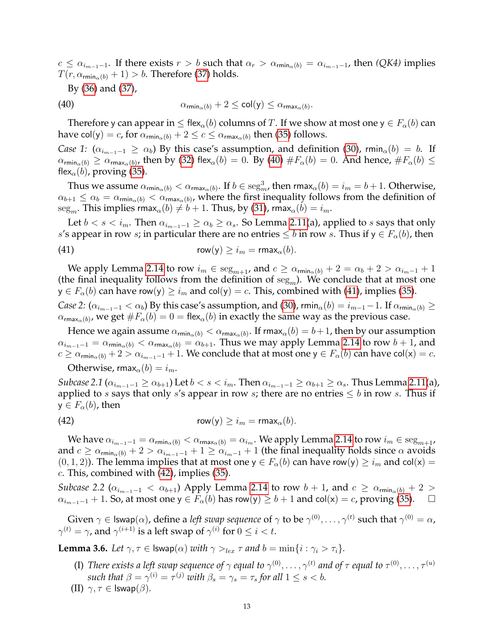$c \leq \alpha_{i_{m-1}-1}$ . If there exists  $r > b$  such that  $\alpha_r > \alpha_{\min_{\alpha}(b)} = \alpha_{i_{m-1}-1}$ , then *(QK4)* implies  $T(r, \alpha_{\min_{\alpha}(b)} + 1) > b$ . Therefore [\(37\)](#page-11-5) holds.

<span id="page-12-0"></span>By [\(36\)](#page-11-3) and [\(37\)](#page-11-5),

(40) 
$$
\alpha_{\min_{\alpha}(b)} + 2 \leq \text{col}(\mathsf{y}) \leq \alpha_{\max_{\alpha}(b)}
$$

Therefore y can appear in  $\leq$  flex<sub>α</sub>(b) columns of T. If we show at most one  $y \in F_\alpha(b)$  can have col(y) = c, for  $\alpha_{\text{rmin}_{\alpha}(b)} + 2 \leq c \leq \alpha_{\text{rmax}_{\alpha}(b)}$  then [\(35\)](#page-11-1) follows.

.

*Case 1:*  $(\alpha_{i_{m-1}-1} \ge \alpha_b)$  By this case's assumption, and definition [\(30\)](#page-10-1), rmin<sub>α</sub> $(b) = b$ . If  $\alpha_{\textsf{rmin}_\alpha(b)} \geq \alpha_{\textsf{rmax}_\alpha(b)}$ , then by [\(32\)](#page-10-2) flex $_\alpha(b)=0.$  By [\(40\)](#page-12-0)  $\#F_\alpha(b)=0.$  And hence,  $\#F_\alpha(b) \leq$ flex<sub> $\alpha$ </sub> $(b)$ , proving [\(35\)](#page-11-1).

Thus we assume  $\alpha_{\textsf{rmin}_\alpha(b)} < \alpha_{\textsf{rmax}_\alpha(b)}$ . If  $b \in \text{seg}^3_m$ , then  $\textsf{rmax}_\alpha(b) = i_m = b+1$ . Otherwise,  $\alpha_{b+1}\leq\alpha_b=\alpha_{\textsf{rmin}_\alpha(b)}<\alpha_{\textsf{rmax}_\alpha(b)}$ , where the first inequality follows from the definition of seg<sub>m</sub>. This implies rmax<sub> $\alpha$ </sub> $(b) \neq b + 1$ . Thus, by [\(31\)](#page-10-3), rmax $\alpha$  $(b) = i_m$ .

Let  $b < s < i_m$ . Then  $\alpha_{i_{m-1}-1} \ge \alpha_b \ge \alpha_s$ . So Lemma [2.11\(](#page-3-3)a), applied to s says that only s's appear in row s; in particular there are no entries  $\leq b$  in row s. Thus if  $y \in F_\alpha(b)$ , then

<span id="page-12-1"></span>(41) 
$$
\mathsf{row}(\mathsf{y}) \geq i_m = \mathsf{rmax}_\alpha(b).
$$

We apply Lemma [2.14](#page-5-9) to row  $i_m \in \text{seg}_{m+1}$ , and  $c \ge \alpha_{\text{rmin}_{\alpha}(b)} + 2 = \alpha_b + 2 > \alpha_{i_{m-1}} + 1$ (the final inequality follows from the definition of  $seg<sub>m</sub>$ ). We conclude that at most one  $y \in F_\alpha(b)$  can have row(y)  $\geq i_m$  and col(y) = c. This, combined with [\(41\)](#page-12-1), implies [\(35\)](#page-11-1).

*Case 2:*  $(\alpha_{i_{m-1}-1} < \alpha_b)$  By this case's assumption, and [\(30\)](#page-10-1), rmin<sub>α</sub> $(b) = i_{m-1}-1$ . If  $\alpha_{\text{rmin}_\alpha(b)} \ge$  $\alpha_{{\sf rmax}_\alpha(b)}$ , we get  $\#F_\alpha(b)=0=$  flex $_\alpha(b)$  in exactly the same way as the previous case.

Hence we again assume  $\alpha_{\sf rmin_\alpha(b)}<\alpha_{\sf rmax_\alpha(b)}.$  If rmax $_\alpha(b)=b+1$ , then by our assumption  $\alpha_{i_{m-1}-1} = \alpha_{\text{rmin}_{\alpha}(b)} < \alpha_{\text{rmax}_{\alpha}(b)} = \alpha_{b+1}$ . Thus we may apply Lemma [2.14](#page-5-9) to row  $b+1$ , and  $c \ge \alpha_{\text{rmin}_{\alpha}(b)} + 2 > \alpha_{i_{m-1}-1} + 1$ . We conclude that at most one  $y \in F_{\alpha}(b)$  can have col(x) = c.

Otherwise, rmax $_{\alpha}(b) = i_m$ .

*Subcase 2.1* ( $\alpha_{i_{m-1}-1} \ge \alpha_{b+1}$ ) Let  $b < s < i_m$ . Then  $\alpha_{i_{m-1}-1} \ge \alpha_{b+1} \ge \alpha_s$ . Thus Lemma [2.11\(](#page-3-3)a), applied to s says that only s's appear in row s; there are no entries  $\leq b$  in row s. Thus if  $y \in F_\alpha(b)$ , then

<span id="page-12-2"></span>(42) 
$$
\mathsf{row}(\mathsf{y}) \geq i_m = \mathsf{rmax}_\alpha(b).
$$

We have  $\alpha_{i_{m-1}-1} = \alpha_{\text{rmin}_{\alpha}(b)} < \alpha_{\text{rmax}_{\alpha}(b)} = \alpha_{i_m}$ . We apply Lemma [2.14](#page-5-9) to row  $i_m \in \text{seg}_{m+1}$ , and  $c \ge \alpha_{\min_{\alpha}(b)} + 2 > \alpha_{i_{m-1}-1} + 1 \ge \alpha_{i_m-1} + 1$  (the final inequality holds since  $\alpha$  avoids  $(0, 1, 2)$ ). The lemma implies that at most one  $y \in F_\alpha(b)$  can have row $(y) \geq i_m$  and col $(x) =$  $c$ . This, combined with [\(42\)](#page-12-2), implies [\(35\)](#page-11-1).

*Subcase 2.2* ( $\alpha_{i_{m-1}-1} < \alpha_{b+1}$ ) Apply Lemma [2.14](#page-5-9) to row  $b + 1$ , and  $c \ge \alpha_{\min_{\alpha}(b)} + 2$  $\alpha_{i_{m-1}-1}$  + 1. So, at most one  $y \in F_\alpha(b)$  has row(y)  $\ge b+1$  and col(x) = c, proving [\(35\)](#page-11-1).  $\Box$ 

Given  $\gamma\in\mathsf{Iswap}(\alpha)$ , define a *left swap sequence* of  $\gamma$  to be  $\gamma^{(0)},\ldots,\gamma^{(t)}$  such that  $\gamma^{(0)}=\alpha$ ,  $\gamma^{(t)}=\gamma$ , and  $\gamma^{(i+1)}$  is a left swap of  $\gamma^{(i)}$  for  $0\leq i < t.$ 

<span id="page-12-3"></span>**Lemma 3.6.** *Let*  $\gamma, \tau \in \textsf{Iswap}(\alpha)$  *with*  $\gamma >_{lex} \tau$  *and*  $b = \min\{i : \gamma_i > \tau_i\}.$ 

- (I) There exists a left swap sequence of  $\gamma$  equal to  $\gamma^{(0)},\ldots,\gamma^{(t)}$  and of  $\tau$  equal to  $\tau^{(0)},\ldots,\tau^{(u)}$ *such that*  $\beta = \gamma^{(i)} = \tau^{(j)}$  *with*  $\beta_s = \gamma_s = \tau_s$  *for all*  $1 \leq s < b$ *.*
- (II)  $\gamma, \tau \in \textsf{Iswap}(\beta)$ .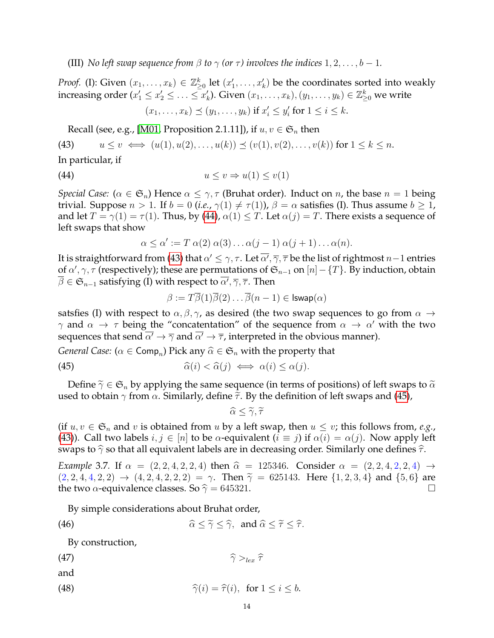(III) *No left swap sequence from*  $\beta$  *to*  $\gamma$  *(or*  $\tau$ *) involves the indices* 1, 2, ..., *b* - 1*.* 

*Proof.* (I): Given  $(x_1, \ldots, x_k) \in \mathbb{Z}_{\geq 0}^k$  let  $(x'_1, \ldots, x'_k)$  be the coordinates sorted into weakly increasing order  $(x_1'\leq x_2'\leq \ldots\leq x_k')$ . Given  $(x_1,\ldots,x_k),(y_1,\ldots,y_k)\in\mathbb{Z}_{\geq 0}^k$  we write  $(x_1, ..., x_k) \preceq (y_1, ..., y_k)$  if  $x'_i \leq y'_i$  for  $1 \leq i \leq k$ .

<span id="page-13-1"></span>Recall (see, e.g., [\[M01,](#page-19-8) Proposition 2.1.11]), if  $u, v \in \mathfrak{S}_n$  then

(43) 
$$
u \le v \iff (u(1), u(2), \dots, u(k)) \preceq (v(1), v(2), \dots, v(k)) \text{ for } 1 \le k \le n.
$$

In particular, if

$$
(44) \t\t u \le v \Rightarrow u(1) \le v(1)
$$

*Special Case:* ( $\alpha \in \mathfrak{S}_n$ ) Hence  $\alpha \leq \gamma$ ,  $\tau$  (Bruhat order). Induct on *n*, the base  $n = 1$  being trivial. Suppose  $n > 1$ . If  $b = 0$  (*i.e.*,  $\gamma(1) \neq \tau(1)$ ),  $\beta = \alpha$  satisfies (I). Thus assume  $b \geq 1$ , and let  $T = \gamma(1) = \tau(1)$ . Thus, by [\(44\)](#page-13-0),  $\alpha(1) \leq T$ . Let  $\alpha(j) = T$ . There exists a sequence of left swaps that show

<span id="page-13-0"></span>
$$
\alpha \leq \alpha' := T \alpha(2) \alpha(3) \dots \alpha(j-1) \alpha(j+1) \dots \alpha(n).
$$

It is straightforward from [\(43\)](#page-13-1) that  $\alpha'\le\gamma,\tau.$  Let  $\overline{\alpha'},\overline{\gamma},\overline{\tau}$  be the list of rightmost  $n-1$  entries of  $\alpha',\gamma,\tau$  (respectively); these are permutations of  $\mathfrak{S}_{n-1}$  on  $[n]-\{T\}.$  By induction, obtain  $\overline{\beta}\in \mathfrak{S}_{n-1}$  satisfying (I) with respect to  $\overline{\alpha'},\overline{\gamma},\overline{\tau}.$  Then

<span id="page-13-2"></span>
$$
\beta:=T\overline{\beta}(1)\overline{\beta}(2)\ldots\overline{\beta}(n-1)\in \mathsf{Iswap}(\alpha)
$$

satsfies (I) with respect to  $\alpha, \beta, \gamma$ , as desired (the two swap sequences to go from  $\alpha \rightarrow$  $\gamma$  and  $\alpha \to \tau$  being the "concatentation" of the sequence from  $\alpha \to \alpha'$  with the two sequences that send  $\overline{\alpha'} \to \overline{\gamma}$  and  $\overline{\alpha'} \to \overline{\tau}$ , interpreted in the obvious manner).

*General Case:* ( $\alpha \in \textsf{Comp}_n$ ) Pick any  $\widehat{\alpha} \in \mathfrak{S}_n$  with the property that

(45) 
$$
\widehat{\alpha}(i) < \widehat{\alpha}(j) \iff \alpha(i) \leq \alpha(j).
$$

Define  $\tilde{\gamma} \in \mathfrak{S}_n$  by applying the same sequence (in terms of positions) of left swaps to  $\tilde{\alpha}$ used to obtain  $\gamma$  from  $\alpha$ . Similarly, define  $\tilde{\tau}$ . By the definition of left swaps and [\(45\)](#page-13-2),

<span id="page-13-4"></span><span id="page-13-3"></span>
$$
\widehat{\alpha}\leq\widetilde{\gamma},\widetilde{\tau}
$$

(if  $u, v \in \mathfrak{S}_n$  and v is obtained from u by a left swap, then  $u \leq v$ ; this follows from, *e.g.*, [\(43\)](#page-13-1)). Call two labels  $i, j \in [n]$  to be  $\alpha$ -equivalent  $(i \equiv j)$  if  $\alpha(i) = \alpha(j)$ . Now apply left swaps to  $\hat{\gamma}$  so that all equivalent labels are in decreasing order. Similarly one defines  $\hat{\tau}$ .

*Example* 3.7*.* If  $\alpha = (2, 2, 4, 2, 2, 4)$  then  $\hat{\alpha} = 125346$ . Consider  $\alpha = (2, 2, 4, 2, 2, 4)$   $\rightarrow$  $(2, 2, 4, 4, 2, 2) \rightarrow (4, 2, 4, 2, 2, 2) = \gamma$ . Then  $\tilde{\gamma} = 625143$ . Here  $\{1, 2, 3, 4\}$  and  $\{5, 6\}$  are the two  $\alpha$ -equivalence classes. So  $\hat{\gamma} = 645321$ . the two  $\alpha$ -equivalence classes. So  $\hat{\gamma} = 645321$ .

By simple considerations about Bruhat order,

(46) 
$$
\widehat{\alpha} \leq \widetilde{\gamma} \leq \widehat{\gamma}, \text{ and } \widehat{\alpha} \leq \widetilde{\tau} \leq \widehat{\tau}.
$$

<span id="page-13-5"></span>By construction,

$$
\widehat{\gamma}\geq_{lex}\widehat{\tau}
$$

and

(48) 
$$
\widehat{\gamma}(i) = \widehat{\tau}(i), \text{ for } 1 \leq i \leq b.
$$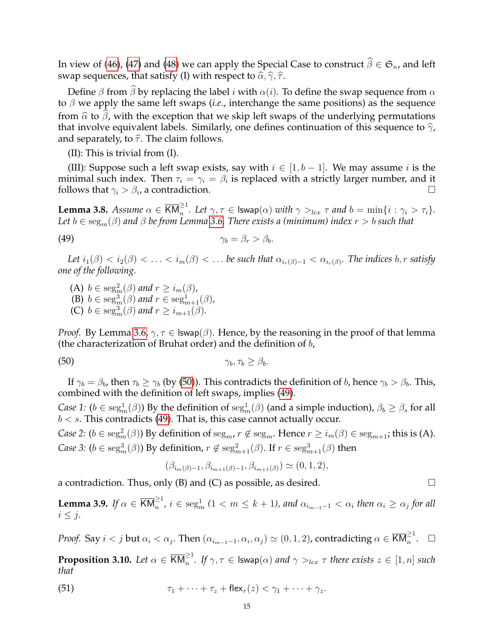In view of [\(46\)](#page-13-3), [\(47\)](#page-13-4) and [\(48\)](#page-13-5) we can apply the Special Case to construct  $\widehat{\beta} \in \mathfrak{S}_n$ , and left swap sequences, that satisfy (I) with respect to  $\hat{\alpha}, \hat{\gamma}, \hat{\tau}$ .

Define  $\beta$  from  $\beta$  by replacing the label i with  $\alpha(i)$ . To define the swap sequence from  $\alpha$ to β we apply the same left swaps (*i.e.*, interchange the same positions) as the sequence from  $\hat{\alpha}$  to  $\beta$ , with the exception that we skip left swaps of the underlying permutations that involve equivalent labels. Similarly, one defines continuation of this sequence to  $\hat{\gamma}$ , and separately, to  $\hat{\tau}$ . The claim follows.

(II): This is trivial from (I).

(III): Suppose such a left swap exists, say with  $i \in [1, b - 1]$ . We may assume i is the minimal such index. Then  $\tau_i = \gamma_i = \beta_i$  is replaced with a strictly larger number, and it follows that  $\gamma_i > \beta_i$ , a contradiction.

<span id="page-14-2"></span>**Lemma 3.8.** *Assume*  $\alpha \in \overline{KM}_n^{\geq 1}$ . Let  $\gamma, \tau \in \textsf{Iswap}(\alpha)$  *with*  $\gamma >_{lex} \tau$  *and*  $b = \min\{i : \gamma_i > \tau_i\}$ . *Let* b ∈ segm(β) *and* β *be from Lemma [3.6.](#page-12-3) There exists a (minimum) index* r > b *such that*

$$
\gamma_b = \beta_r > \beta_b.
$$

Let  $i_1(\beta) < i_2(\beta) < \ldots < i_m(\beta) < \ldots$  be such that  $\alpha_{i_r(\beta)-1} < \alpha_{i_r(\beta)}$ . The indices  $b, r$  satisfy *one of the following.*

<span id="page-14-1"></span>(A)  $b \in \text{seg}_m^2(\beta)$  and  $r \ge i_m(\beta)$ , (B)  $b \in \text{seg}_m^3(\beta)$  and  $r \in \text{seg}_{m+1}^1(\beta)$ , (C)  $b \in \text{seg}_m^3(\beta)$  and  $r \ge i_{m+1}(\beta)$ .

*Proof.* By Lemma [3.6,](#page-12-3)  $\gamma, \tau \in \text{Iswap}(\beta)$ . Hence, by the reasoning in the proof of that lemma (the characterization of Bruhat order) and the definition of  $b$ ,

$$
\gamma_b, \tau_b \geq \beta_b.
$$

If  $\gamma_b = \beta_b$ , then  $\tau_b \ge \gamma_b$  (by [\(50\)](#page-14-0)). This contradicts the definition of b, hence  $\gamma_b > \beta_b$ . This, combined with the definition of left swaps, implies [\(49\)](#page-14-1).

*Case 1:* ( $b \in \text{seg}^1_m(\beta)$ ) By the definition of  $\text{seg}^1_m(\beta)$  (and a simple induction),  $\beta_b \ge \beta_s$  for all  $b < s$ . This contradicts [\(49\)](#page-14-1). That is, this case cannot actually occur.

*Case 2:*  $(b \in \text{seg}^2_m(\beta))$  By definition of  $\text{seg}_m$ ,  $r \notin \text{seg}_m$ . Hence  $r \geq i_m(\beta) \in \text{seg}_{m+1}$ ; this is (A). *Case 3:* ( $b \in \text{seg}^3_m(\beta)$ ) By definition,  $r \notin \text{seg}^2_{m+1}(\beta)$ . If  $r \in \text{seg}^3_{m+1}(\beta)$  then

<span id="page-14-0"></span>
$$
(\beta_{i_m(\beta)-1}, \beta_{i_{m+1}(\beta)-1}, \beta_{i_{m+1}(\beta)}) \simeq (0, 1, 2),
$$

a contradiction. Thus, only (B) and (C) as possible, as desired.  $\Box$ 

<span id="page-14-3"></span>**Lemma 3.9.** If  $\alpha \in \overline{\text{KM}}_n^{\geq 1}$ ,  $i \in \text{seg}_m^1$  ( $1 < m \leq k+1$ ), and  $\alpha_{i_{m-1}-1} < \alpha_i$  then  $\alpha_i \geq \alpha_j$  for all  $i \leq j$ .

*Proof.* Say  $i < j$  but  $\alpha_i < \alpha_j$ . Then  $(\alpha_{i_{m-1}-1}, \alpha_i, \alpha_j) \simeq (0, 1, 2)$ , contradicting  $\alpha \in \overline{\mathsf{KM}}_n^{\geq 1}$ .  $\quad \Box$ 

<span id="page-14-5"></span>**Proposition 3.10.** Let  $\alpha \in \overline{\text{KM}}_n^{\geq 1}$ . If  $\gamma, \tau \in \text{Iswap}(\alpha)$  and  $\gamma >_{lex} \tau$  there exists  $z \in [1,n]$  such *that*

<span id="page-14-4"></span>(51) 
$$
\tau_1 + \cdots + \tau_z + \mathsf{flex}_\tau(z) < \gamma_1 + \cdots + \gamma_z.
$$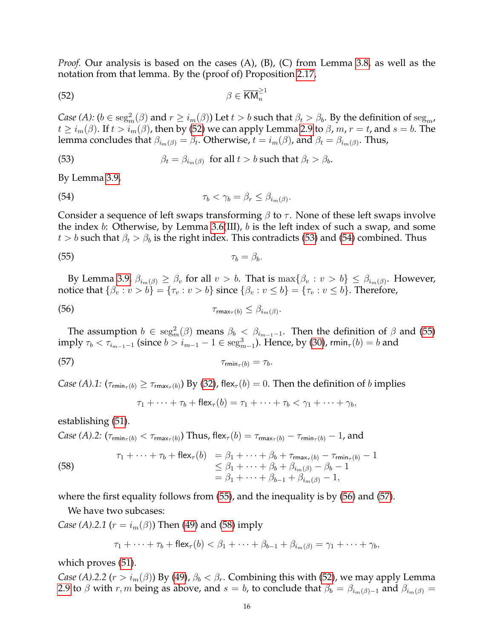*Proof.* Our analysis is based on the cases (A), (B), (C) from Lemma [3.8,](#page-14-2) as well as the notation from that lemma. By the (proof of) Proposition [2.17,](#page-8-3)

<span id="page-15-0"></span>
$$
\beta \in \overline{\text{KM}}_n^{\geq 1}
$$

*Case (A):* ( $b \in \text{seg}^2_m(\beta)$  and  $r \ge i_m(\beta)$ ) Let  $t > b$  such that  $\beta_t > \beta_b$ . By the definition of  $\text{seg}_m$ ,  $t \ge i_m(\beta)$ . If  $t > i_m(\beta)$ , then by [\(52\)](#page-15-0) we can apply Lemma [2.9](#page-3-2) to  $\beta$ ,  $m, r = t$ , and  $s = b$ . The lemma concludes that  $\beta_{i_m(\beta)}=\beta_t.$  Otherwise,  $t=i_m(\beta)$ , and  $\beta_t=\beta_{i_m(\beta)}.$  Thus,

<span id="page-15-1"></span>(53) 
$$
\beta_t = \beta_{i_m(\beta)} \text{ for all } t > b \text{ such that } \beta_t > \beta_b.
$$

By Lemma [3.9,](#page-14-3)

<span id="page-15-2"></span>(54) 
$$
\tau_b < \gamma_b = \beta_r \leq \beta_{i_m(\beta)}.
$$

Consider a sequence of left swaps transforming  $\beta$  to  $\tau$ . None of these left swaps involve the index b: Otherwise, by Lemma [3.6\(](#page-12-3)III),  $b$  is the left index of such a swap, and some  $t > b$  such that  $\beta_t > \beta_b$  is the right index. This contradicts [\(53\)](#page-15-1) and [\(54\)](#page-15-2) combined. Thus

<span id="page-15-3"></span>
$$
\tau_b = \beta_b.
$$

By Lemma [3.9,](#page-14-3)  $\beta_{i_m(\beta)} \ge \beta_v$  for all  $v > b$ . That is  $\max\{\beta_v : v > b\} \le \beta_{i_m(\beta)}$ . However, notice that  $\{\beta_v : v > b\} = \{\tau_v : v > b\}$  since  $\{\beta_v : v \le b\} = \{\tau_v : v \le b\}$ . Therefore,

(56) 
$$
\tau_{\max_{\tau}(b)} \leq \beta_{i_m(\beta)}.
$$

The assumption  $b \in \text{seg}^2_m(\beta)$  means  $\beta_b < \beta_{i_{m-1}-1}$ . Then the definition of  $\beta$  and [\(55\)](#page-15-3) imply  $\tau_b < \tau_{i_{m-1}-1}$  (since  $b > i_{m-1} - 1 \in \text{seg}^3_{m-1}$ ). Hence, by [\(30\)](#page-10-1), rmin $_\tau(b) = b$  and

$$
\tau_{\min_{\tau}(b)} = \tau_b.
$$

*Case (A).1:*  $(\tau_{\text{rmin}_{\tau}(b)} \ge \tau_{\text{rmax}_{\tau}(b)})$  By [\(32\)](#page-10-2), flex<sub> $\tau$ </sub>(b) = 0. Then the definition of b implies

<span id="page-15-5"></span><span id="page-15-4"></span>
$$
\tau_1 + \cdots + \tau_b + \mathsf{flex}_{\tau}(b) = \tau_1 + \cdots + \tau_b < \gamma_1 + \cdots + \gamma_b,
$$

establishing [\(51\)](#page-14-4).

Case (A).2: 
$$
(\tau_{\text{rmin}_{\tau}(b)} < \tau_{\text{rmax}_{\tau}(b)})
$$
 Thus,  $\text{flex}_{\tau}(b) = \tau_{\text{rmax}_{\tau}(b)} - \tau_{\text{rmin}_{\tau}(b)} - 1$ , and

<span id="page-15-6"></span>(58) 
$$
\tau_1 + \dots + \tau_b + \text{flex}_\tau(b) = \beta_1 + \dots + \beta_b + \tau_{\text{rmax}_\tau(b)} - \tau_{\text{rmin}_\tau(b)} - 1 \n\leq \beta_1 + \dots + \beta_b + \beta_{i_m(\beta)} - \beta_b - 1 \n= \beta_1 + \dots + \beta_{b-1} + \beta_{i_m(\beta)} - 1,
$$

where the first equality follows from [\(55\)](#page-15-3), and the inequality is by [\(56\)](#page-15-4) and [\(57\)](#page-15-5).

We have two subcases:

*Case (A).2.1 (r = i<sub>m</sub>(* $\beta$ *)*) Then [\(49\)](#page-14-1) and [\(58\)](#page-15-6) imply

$$
\tau_1 + \cdots + \tau_b + \mathsf{flex}_{\tau}(b) < \beta_1 + \cdots + \beta_{b-1} + \beta_{i_m(\beta)} = \gamma_1 + \cdots + \gamma_b,
$$

which proves [\(51\)](#page-14-4).

*Case (A).2.2* ( $r > i_m(\beta)$ ) By [\(49\)](#page-14-1),  $\beta_b < \beta_r$ . Combining this with [\(52\)](#page-15-0), we may apply Lemma [2.9](#page-3-2) to  $\beta$  with r, m being as above, and  $s = b$ , to conclude that  $\beta_b = \beta_{i_m(\beta)-1}$  and  $\beta_{i_m(\beta)} =$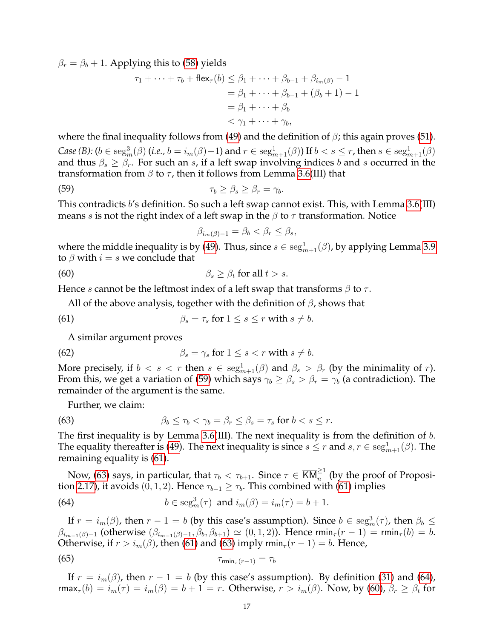$\beta_r = \beta_b + 1$ . Applying this to [\(58\)](#page-15-6) yields

$$
\tau_1 + \dots + \tau_b + \text{flex}_{\tau}(b) \leq \beta_1 + \dots + \beta_{b-1} + \beta_{i_m(\beta)} - 1
$$
  
=  $\beta_1 + \dots + \beta_{b-1} + (\beta_b + 1) - 1$   
=  $\beta_1 + \dots + \beta_b$   
<  $\gamma_1 + \dots + \gamma_b$ ,

where the final inequality follows from [\(49\)](#page-14-1) and the definition of  $\beta$ ; this again proves [\(51\)](#page-14-4). *Case* (*B*): ( $b \in \text{seg}_m^3(\beta)$  (*i.e.,*  $b = i_m(\beta) - 1$ ) and  $r \in \text{seg}_{m+1}^1(\beta)$ ) If  $b < s \leq r$ , then  $s \in \text{seg}_{m+1}^1(\beta)$ and thus  $\beta_s \geq \beta_r$ . For such an s, if a left swap involving indices b and s occurred in the transformation from  $\beta$  to  $\tau$ , then it follows from Lemma [3.6\(](#page-12-3)III) that

(59) 
$$
\tau_b \geq \beta_s \geq \beta_r = \gamma_b.
$$

This contradicts b's definition. So such a left swap cannot exist. This, with Lemma [3.6\(](#page-12-3)III) means *s* is not the right index of a left swap in the  $\beta$  to  $\tau$  transformation. Notice

<span id="page-16-4"></span><span id="page-16-1"></span><span id="page-16-0"></span>
$$
\beta_{i_m(\beta)-1} = \beta_b < \beta_r \le \beta_s,
$$

where the middle inequality is by [\(49\)](#page-14-1). Thus, since  $s \in \text{seg}^1_{m+1}(\beta)$ , by applying Lemma [3.9](#page-14-3) to  $\beta$  with  $i = s$  we conclude that

(60) 
$$
\beta_s \geq \beta_t \text{ for all } t > s.
$$

Hence s cannot be the leftmost index of a left swap that transforms  $\beta$  to  $\tau$ .

All of the above analysis, together with the definition of  $\beta$ , shows that

(61) 
$$
\beta_s = \tau_s \text{ for } 1 \leq s \leq r \text{ with } s \neq b.
$$

<span id="page-16-5"></span>A similar argument proves

(62) 
$$
\beta_s = \gamma_s \text{ for } 1 \leq s < r \text{ with } s \neq b.
$$

More precisely, if  $b < s < r$  then  $s \in \text{seg}^1_{m+1}(\beta)$  and  $\beta_s > \beta_r$  (by the minimality of r). From this, we get a variation of [\(59\)](#page-16-0) which says  $\gamma_b \ge \beta_s > \beta_r = \gamma_b$  (a contradiction). The remainder of the argument is the same.

<span id="page-16-2"></span>Further, we claim:

(63) 
$$
\beta_b \leq \tau_b < \gamma_b = \beta_r \leq \beta_s = \tau_s \text{ for } b < s \leq r.
$$

The first inequality is by Lemma [3.6\(](#page-12-3)III). The next inequality is from the definition of  $b$ . The equality thereafter is [\(49\)](#page-14-1). The next inequality is since  $s \leq r$  and  $s, r \in \text{seg}^1_{m+1}(\beta)$ . The remaining equality is [\(61\)](#page-16-1).

Now, [\(63\)](#page-16-2) says, in particular, that  $\tau_b<\tau_{b+1}.$  Since  $\tau\in\overline{\textsf{KM}}_n^{\geq 1}$  (by the proof of Proposi-tion [2.17\)](#page-8-3), it avoids (0, 1, 2). Hence  $\tau_{b-1} \geq \tau_b$ . This combined with [\(61\)](#page-16-1) implies

<span id="page-16-3"></span>(64) 
$$
b \in \text{seg}_m^3(\tau) \text{ and } i_m(\beta) = i_m(\tau) = b + 1.
$$

If  $r = i_m(\beta)$ , then  $r - 1 = b$  (by this case's assumption). Since  $b \in \text{seg}_m^3(\tau)$ , then  $\beta_b \leq$  $\beta_{i_{m-1}(\beta)-1}$  (otherwise  $(\beta_{i_{m-1}(\beta)-1}, \beta_b, \beta_{b+1}) \simeq (0, 1, 2)$ ). Hence rmin<sub>τ</sub> $(r-1) =$ rmin<sub>τ</sub> $(b) = b$ . Otherwise, if  $r > i_m(\beta)$ , then [\(61\)](#page-16-1) and [\(63\)](#page-16-2) imply rmin<sub> $\tau$ </sub> $(r - 1) = b$ . Hence,

<span id="page-16-6"></span>
$$
\tau_{\min_{\tau}(r-1)} = \tau_b
$$

If  $r = i_m(\beta)$ , then  $r - 1 = b$  (by this case's assumption). By definition [\(31\)](#page-10-3) and [\(64\)](#page-16-3), rmax<sub>τ</sub>(b) =  $i_m(\tau) = i_m(\beta) = b + 1 = r$ . Otherwise,  $r > i_m(\beta)$ . Now, by [\(60\)](#page-16-4),  $\beta_r \ge \beta_t$  for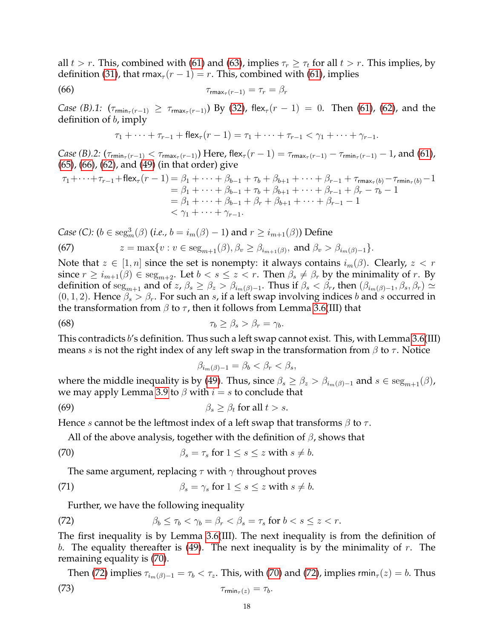all  $t > r$ . This, combined with [\(61\)](#page-16-1) and [\(63\)](#page-16-2), implies  $\tau_r \geq \tau_t$  for all  $t > r$ . This implies, by definition [\(31\)](#page-10-3), that  $\text{rmax}_{\tau}(r-1) = r$ . This, combined with [\(61\)](#page-16-1), implies

$$
\tau_{\max_{\tau}(r-1)} = \tau_r = \beta_r
$$

*Case (B).1:*  $(\tau_{\min_{\tau}(r-1)} \geq \tau_{\max_{\tau}(r-1)})$  By [\(32\)](#page-10-2), flex<sub> $\tau$ </sub> $(r-1) = 0$ . Then [\(61\)](#page-16-1), [\(62\)](#page-16-5), and the definition of  $b$ , imply

<span id="page-17-0"></span>
$$
\tau_1 + \cdots + \tau_{r-1} + \mathsf{flex}_{\tau}(r-1) = \tau_1 + \cdots + \tau_{r-1} < \gamma_1 + \cdots + \gamma_{r-1}.
$$

*Case (B).2:*  $(\tau_{\text{rmin}_{\tau}(r-1)} < \tau_{\text{rmax}_{\tau}(r-1)})$  Here, flex $_{\tau}(r-1) = \tau_{\text{rmax}_{\tau}(r-1)} - \tau_{\text{rmin}_{\tau}(r-1)} - 1$ , and [\(61\)](#page-16-1), [\(65\)](#page-16-6), [\(66\)](#page-17-0), [\(62\)](#page-16-5), and [\(49\)](#page-14-1) (in that order) give

$$
\tau_1 + \dots + \tau_{r-1} + \text{flex}_{\tau}(r-1) = \beta_1 + \dots + \beta_{b-1} + \tau_b + \beta_{b+1} + \dots + \beta_{r-1} + \tau_{\text{rmax}_{\tau}(b)} - \tau_{\text{rmin}_{\tau}(b)} - 1
$$
  
=  $\beta_1 + \dots + \beta_{b-1} + \tau_b + \beta_{b+1} + \dots + \beta_{r-1} + \beta_r - \tau_b - 1$   
=  $\beta_1 + \dots + \beta_{b-1} + \beta_r + \beta_{b+1} + \dots + \beta_{r-1} - 1$   
<  $\gamma_1 + \dots + \gamma_{r-1}$ .

*Case (C):*  $(b \in \text{seg}^3_m(\beta)$  (*i.e.,*  $b = i_m(\beta) - 1$ ) and  $r \ge i_{m+1}(\beta)$ ) Define

(67) 
$$
z = \max\{v : v \in \text{seg}_{m+1}(\beta), \beta_v \geq \beta_{i_{m+1}(\beta)}, \text{ and } \beta_v > \beta_{i_m(\beta)-1}\}.
$$

Note that  $z \in [1, n]$  since the set is nonempty: it always contains  $i_m(\beta)$ . Clearly,  $z < r$ since  $r \geq i_{m+1}(\beta) \in \text{seg}_{m+2}$ . Let  $b < s \leq z < r$ . Then  $\beta_s \neq \beta_r$  by the minimality of r. By definition of  $\text{seg}_{m+1}$  and of  $z, \beta_s \geq \beta_z > \beta_{i_m(\beta)-1}$ . Thus if  $\beta_s < \beta_r$ , then  $(\beta_{i_m(\beta)-1}, \beta_s, \beta_r) \simeq$  $(0, 1, 2)$ . Hence  $\beta_s > \beta_r$ . For such an s, if a left swap involving indices b and s occurred in the transformation from  $\beta$  to  $\tau$ , then it follows from Lemma [3.6\(](#page-12-3)III) that

(68) 
$$
\tau_b \geq \beta_s > \beta_r = \gamma_b.
$$

This contradicts b's definition. Thus such a left swap cannot exist. This, with Lemma [3.6\(](#page-12-3)III) means s is not the right index of any left swap in the transformation from  $\beta$  to  $\tau$ . Notice

<span id="page-17-1"></span>
$$
\beta_{i_m(\beta)-1} = \beta_b < \beta_r < \beta_s
$$

where the middle inequality is by [\(49\)](#page-14-1). Thus, since  $\beta_s \geq \beta_s > \beta_{i_m(\beta)-1}$  and  $s \in \text{seg}_{m+1}(\beta)$ , we may apply Lemma [3.9](#page-14-3) to  $\beta$  with  $i = s$  to conclude that

(69) 
$$
\beta_s \geq \beta_t \text{ for all } t > s.
$$

Hence s cannot be the leftmost index of a left swap that transforms  $\beta$  to  $\tau$ .

All of the above analysis, together with the definition of  $\beta$ , shows that

(70) 
$$
\beta_s = \tau_s \text{ for } 1 \leq s \leq z \text{ with } s \neq b.
$$

<span id="page-17-3"></span>The same argument, replacing  $\tau$  with  $\gamma$  throughout proves

(71) 
$$
\beta_s = \gamma_s \text{ for } 1 \leq s \leq z \text{ with } s \neq b.
$$

<span id="page-17-2"></span>Further, we have the following inequality

(72) 
$$
\beta_b \leq \tau_b < \gamma_b = \beta_r < \beta_s = \tau_s \text{ for } b < s \leq z < r.
$$

The first inequality is by Lemma [3.6\(](#page-12-3)III). The next inequality is from the definition of b. The equality thereafter is  $(49)$ . The next inequality is by the minimality of r. The remaining equality is [\(70\)](#page-17-1).

<span id="page-17-4"></span>Then [\(72\)](#page-17-2) implies  $\tau_{i_m(\beta)-1} = \tau_b < \tau_z$ . This, with [\(70\)](#page-17-1) and (72), implies rmin<sub> $\tau$ </sub>(*z*) = *b*. Thus (73)  $\tau_{\min_{\tau}(z)} = \tau_b$ .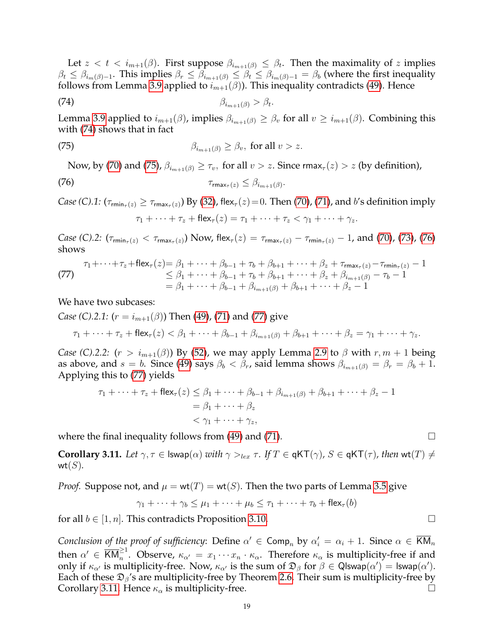Let  $z < t < i_{m+1}(\beta)$ . First suppose  $\beta_{i_{m+1}(\beta)} \leq \beta_t$ . Then the maximality of z implies  $\beta_t \leq \beta_{i_m(\beta)-1}$ . This implies  $\beta_r \leq \beta_{i_{m+1}(\beta)} \leq \beta_t \leq \beta_{i_m(\beta)-1} = \beta_b$  (where the first inequality follows from Lemma [3.9](#page-14-3) applied to  $i_{m+1}(\beta)$ ). This inequality contradicts [\(49\)](#page-14-1). Hence

$$
\beta_{i_{m+1}(\beta)} > \beta_t.
$$

Lemma [3.9](#page-14-3) applied to  $i_{m+1}(\beta)$ , implies  $\beta_{i_{m+1}(\beta)} \geq \beta_v$  for all  $v \geq i_{m+1}(\beta)$ . Combining this with [\(74\)](#page-18-0) shows that in fact

(75) 
$$
\beta_{i_{m+1}(\beta)} \geq \beta_v, \text{ for all } v > z.
$$

Now, by [\(70\)](#page-17-1) and [\(75\)](#page-18-1),  $\beta_{i_{m+1}(\beta)} \geq \tau_v$ , for all  $v > z$ . Since rmax $\tau(z) > z$  (by definition),

$$
\tau_{\max_{\tau}(z)} \leq \beta_{i_{m+1}(\beta)}.
$$

*Case* (*C*).1:  $(\tau_{\text{rmin}_{\tau}(z)} \ge \tau_{\text{rmax}_{\tau}(z)})$  By [\(32\)](#page-10-2), flex<sub> $\tau$ </sub>(*z*)=0. Then [\(70\)](#page-17-1), [\(71\)](#page-17-3), and b's definition imply

<span id="page-18-2"></span><span id="page-18-1"></span><span id="page-18-0"></span>
$$
\tau_1 + \cdots + \tau_z + \mathsf{flex}_{\tau}(z) = \tau_1 + \cdots + \tau_z < \gamma_1 + \cdots + \gamma_z.
$$

*Case* (C).2:  $(\tau_{\text{rmin}_{\tau}(z)} < \tau_{\text{rmax}_{\tau}(z)})$  Now, flex $_{\tau}(z) = \tau_{\text{rmax}_{\tau}(z)} - \tau_{\text{rmin}_{\tau}(z)} - 1$ , and [\(70\)](#page-17-1), [\(73\)](#page-17-4), [\(76\)](#page-18-2) shows

<span id="page-18-3"></span>(77) 
$$
\tau_1 + \dots + \tau_z + \text{flex}_\tau(z) = \beta_1 + \dots + \beta_{b-1} + \tau_b + \beta_{b+1} + \dots + \beta_z + \tau_{\text{max}_\tau(z)} - \tau_{\text{rmin}_\tau(z)} - 1 \n\leq \beta_1 + \dots + \beta_{b-1} + \tau_b + \beta_{b+1} + \dots + \beta_z + \beta_{i_{m+1}(\beta)} - \tau_b - 1 \n= \beta_1 + \dots + \beta_{b-1} + \beta_{i_{m+1}(\beta)} + \beta_{b+1} + \dots + \beta_z - 1
$$

We have two subcases:

*Case (C).2.1:*  $(r = i_{m+1}(\beta))$  Then [\(49\)](#page-14-1), [\(71\)](#page-17-3) and [\(77\)](#page-18-3) give

$$
\tau_1+\cdots+\tau_z+\mathsf{flex}_{\tau}(z)<\beta_1+\cdots+\beta_{b-1}+\beta_{i_{m+1}(\beta)}+\beta_{b+1}+\cdots+\beta_z=\gamma_1+\cdots+\gamma_z.
$$

*Case (C).2.2:*  $(r > i_{m+1}(\beta))$  By [\(52\)](#page-15-0), we may apply Lemma [2.9](#page-3-2) to  $\beta$  with  $r, m + 1$  being as above, and  $s = b$ . Since [\(49\)](#page-14-1) says  $\beta_b < \beta_r$ , said lemma shows  $\beta_{i_{m+1}(\beta)} = \beta_r = \beta_b + 1$ . Applying this to [\(77\)](#page-18-3) yields

$$
\tau_1 + \dots + \tau_z + \mathsf{flex}_{\tau}(z) \leq \beta_1 + \dots + \beta_{b-1} + \beta_{i_{m+1}(\beta)} + \beta_{b+1} + \dots + \beta_z - 1
$$
  
=  $\beta_1 + \dots + \beta_z$   
<  $\gamma_1 + \dots + \gamma_z$ ,

where the final inequality follows from  $(49)$  and  $(71)$ .

<span id="page-18-4"></span>**Corollary 3.11.** Let  $\gamma, \tau \in \textsf{Iswap}(\alpha)$  with  $\gamma >_{lex} \tau$ . If  $T \in \textsf{qKT}(\gamma)$ ,  $S \in \textsf{qKT}(\tau)$ , then wt(T)  $\neq$  $wt(S)$ .

*Proof.* Suppose not, and  $\mu = \text{wt}(T) = \text{wt}(S)$ . Then the two parts of Lemma [3.5](#page-11-7) give

$$
\gamma_1 + \cdots + \gamma_b \le \mu_1 + \cdots + \mu_b \le \tau_1 + \cdots + \tau_b + \mathsf{flex}_\tau(b)
$$

for all  $b \in [1, n]$ . This contradicts Proposition [3.10.](#page-14-5)

*Conclusion of the proof of sufficiency*: Define  $\alpha' \in \textsf{Comp}_n$  by  $\alpha'_i = \alpha_i + 1$ . Since  $\alpha \in \overline{\textsf{KM}}_n$ then  $\alpha' \in \overline{KM}_n^{\geq 1}$ . Observe,  $\kappa_{\alpha'} = x_1 \cdots x_n \cdot \kappa_\alpha$ . Therefore  $\kappa_\alpha$  is multiplicity-free if and only if  $\kappa_{\alpha'}$  is multiplicity-free. Now,  $\kappa_{\alpha'}$  is the sum of  $\mathfrak{D}_{\beta}$  for  $\beta \in \mathsf{Q}$ lswap $(\alpha') = \mathsf{Iswap}(\alpha').$ Each of these  $\mathfrak{D}_{\beta}$ 's are multiplicity-free by Theorem [2.6.](#page-2-0) Their sum is multiplicity-free by Corollary [3.11.](#page-18-4) Hence  $\kappa_{\alpha}$  is multiplicity-free.